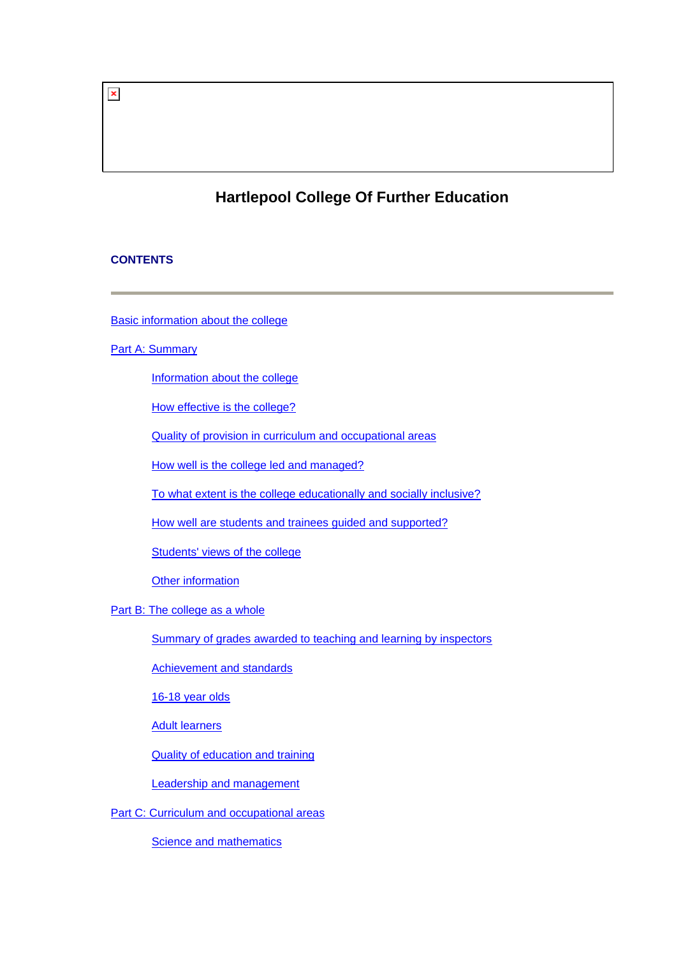# $\pmb{\times}$

# **Hartlepool College Of Further Education**

### **CONTENTS**

[Basic information about the college](#page-1-0)

# **[Part A: Summary](#page-1-0)**

[Information about the college](#page-2-0)

[How effective is the college?](#page-2-0)

[Quality of provision in curriculum and occupational areas](#page-3-0)

[How well is the college led and managed?](#page-5-0)

[To what extent is the college educationally and socially inclusive?](#page-5-0)

[How well are students and trainees guided and supported?](#page-5-0)

[Students' views of the college](#page-5-0)

[Other information](#page-7-0)

[Part B: The college as a whole](#page-7-0)

[Summary of grades awarded to teaching and learning by inspectors](#page-7-0)

[Achievement and standards](#page-7-0)

[16-18 year olds](#page-8-0)

[Adult learners](#page-8-0)

[Quality of education and training](#page-9-0)

[Leadership and management](#page-13-0)

[Part C: Curriculum and occupational areas](#page-15-0)

[Science and mathematics](#page-15-0)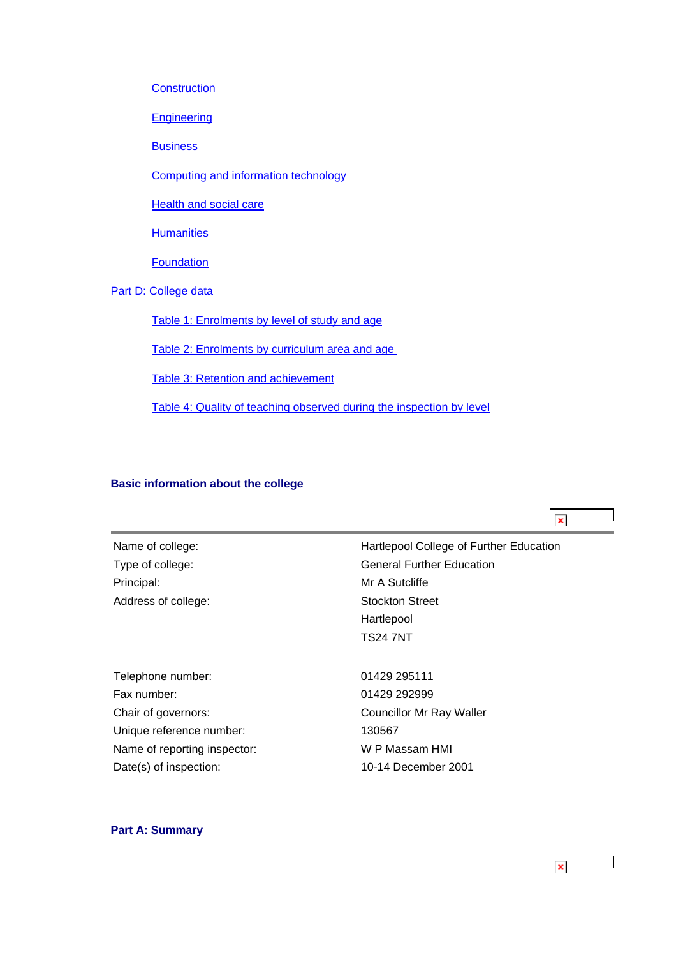<span id="page-1-0"></span>**[Construction](#page-17-0)** 

**[Engineering](#page-20-0)** 

**[Business](#page-23-0)** 

[Computing and information technology](#page-27-0)

**[Health and social care](#page-30-0)** 

**[Humanities](#page-33-0)** 

[Foundation](#page-36-0)

[Part D: College data](#page-39-0)

[Table 1: Enrolments by level of study and age](#page-39-0)

[Table 2: Enrolments by curriculum area and age](#page-39-0) 

[Table 3: Retention and achievement](#page-40-0)

[Table 4: Quality of teaching observed during the inspection by level](#page-41-0)

### **Basic information about the college**

Principal: Mr A Sutcliffe Address of college:

Name of college: Name of college: Name of college: Hartlepool College of Further Education Type of college: Type of college: General Further Education Stockton Street Hartlepool TS24 7NT

Telephone number: 01429 295111 Fax number: 01429 292999 Chair of governors: Chair of governors: Councillor Mr Ray Waller Unique reference number: 130567 Name of reporting inspector: W P Massam HMI Date(s) of inspection: 10-14 December 2001

# **Part A: Summary**

 $\overline{|\mathbf{x}|}$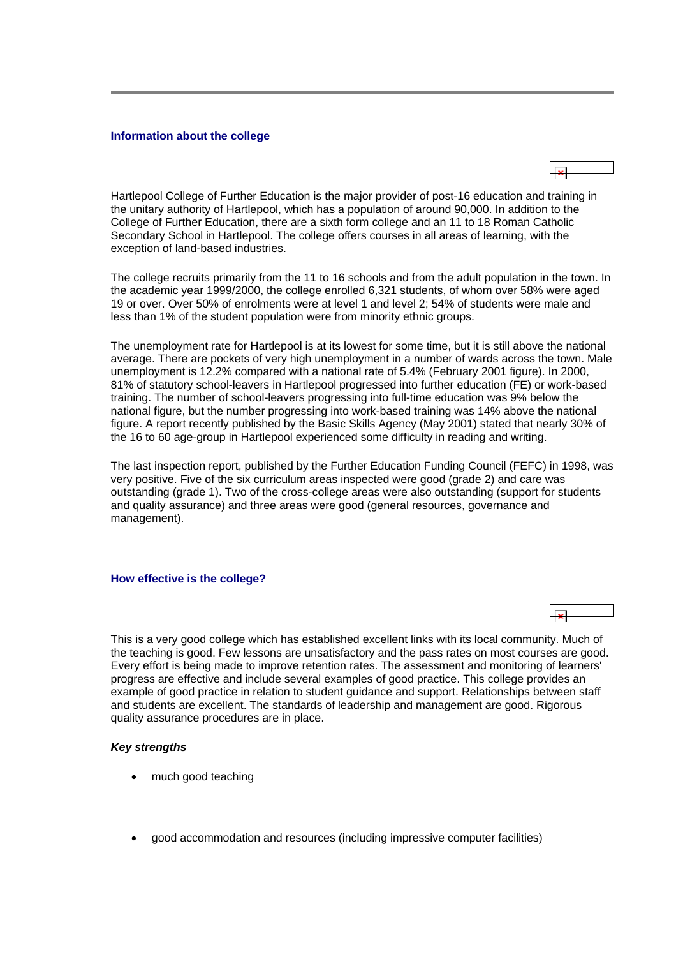#### <span id="page-2-0"></span>**Information about the college**

Hartlepool College of Further Education is the major provider of post-16 education and training in the unitary authority of Hartlepool, which has a population of around 90,000. In addition to the College of Further Education, there are a sixth form college and an 11 to 18 Roman Catholic Secondary School in Hartlepool. The college offers courses in all areas of learning, with the exception of land-based industries.

The college recruits primarily from the 11 to 16 schools and from the adult population in the town. In the academic year 1999/2000, the college enrolled 6,321 students, of whom over 58% were aged 19 or over. Over 50% of enrolments were at level 1 and level 2; 54% of students were male and less than 1% of the student population were from minority ethnic groups.

The unemployment rate for Hartlepool is at its lowest for some time, but it is still above the national average. There are pockets of very high unemployment in a number of wards across the town. Male unemployment is 12.2% compared with a national rate of 5.4% (February 2001 figure). In 2000, 81% of statutory school-leavers in Hartlepool progressed into further education (FE) or work-based training. The number of school-leavers progressing into full-time education was 9% below the national figure, but the number progressing into work-based training was 14% above the national figure. A report recently published by the Basic Skills Agency (May 2001) stated that nearly 30% of the 16 to 60 age-group in Hartlepool experienced some difficulty in reading and writing.

The last inspection report, published by the Further Education Funding Council (FEFC) in 1998, was very positive. Five of the six curriculum areas inspected were good (grade 2) and care was outstanding (grade 1). Two of the cross-college areas were also outstanding (support for students and quality assurance) and three areas were good (general resources, governance and management).

#### **How effective is the college?**



This is a very good college which has established excellent links with its local community. Much of the teaching is good. Few lessons are unsatisfactory and the pass rates on most courses are good. Every effort is being made to improve retention rates. The assessment and monitoring of learners' progress are effective and include several examples of good practice. This college provides an example of good practice in relation to student guidance and support. Relationships between staff and students are excellent. The standards of leadership and management are good. Rigorous quality assurance procedures are in place.

#### *Key strengths*

- much good teaching
- good accommodation and resources (including impressive computer facilities)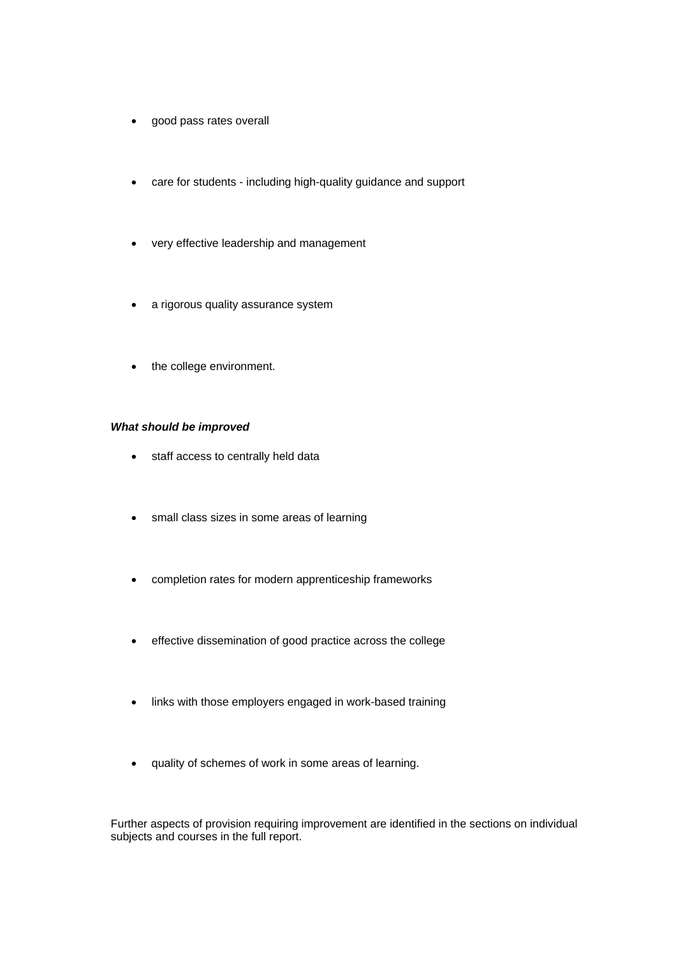- <span id="page-3-0"></span>• good pass rates overall
- care for students including high-quality guidance and support
- very effective leadership and management
- a rigorous quality assurance system
- the college environment.

#### *What should be improved*

- staff access to centrally held data
- small class sizes in some areas of learning
- completion rates for modern apprenticeship frameworks
- effective dissemination of good practice across the college
- links with those employers engaged in work-based training
- quality of schemes of work in some areas of learning.

Further aspects of provision requiring improvement are identified in the sections on individual subjects and courses in the full report.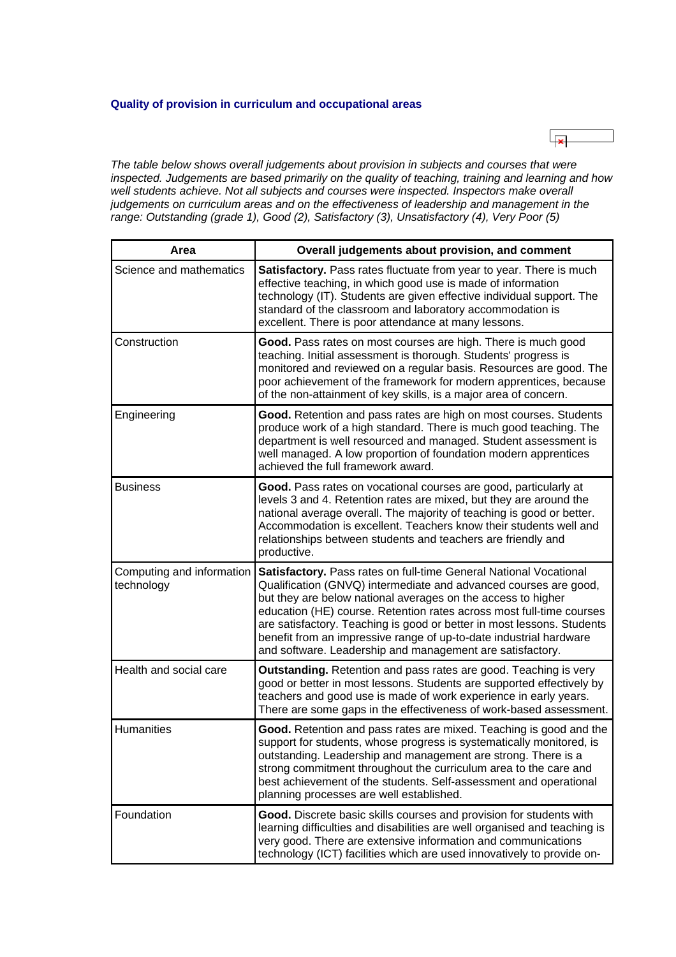### **Quality of provision in curriculum and occupational areas**



*The table below shows overall judgements about provision in subjects and courses that were inspected. Judgements are based primarily on the quality of teaching, training and learning and how*  well students achieve. Not all subjects and courses were inspected. Inspectors make overall *judgements on curriculum areas and on the effectiveness of leadership and management in the range: Outstanding (grade 1), Good (2), Satisfactory (3), Unsatisfactory (4), Very Poor (5)*

| Area                                    | Overall judgements about provision, and comment                                                                                                                                                                                                                                                                                                                                                                                                                                            |
|-----------------------------------------|--------------------------------------------------------------------------------------------------------------------------------------------------------------------------------------------------------------------------------------------------------------------------------------------------------------------------------------------------------------------------------------------------------------------------------------------------------------------------------------------|
| Science and mathematics                 | Satisfactory. Pass rates fluctuate from year to year. There is much<br>effective teaching, in which good use is made of information<br>technology (IT). Students are given effective individual support. The<br>standard of the classroom and laboratory accommodation is<br>excellent. There is poor attendance at many lessons.                                                                                                                                                          |
| Construction                            | Good. Pass rates on most courses are high. There is much good<br>teaching. Initial assessment is thorough. Students' progress is<br>monitored and reviewed on a regular basis. Resources are good. The<br>poor achievement of the framework for modern apprentices, because<br>of the non-attainment of key skills, is a major area of concern.                                                                                                                                            |
| Engineering                             | Good. Retention and pass rates are high on most courses. Students<br>produce work of a high standard. There is much good teaching. The<br>department is well resourced and managed. Student assessment is<br>well managed. A low proportion of foundation modern apprentices<br>achieved the full framework award.                                                                                                                                                                         |
| <b>Business</b>                         | Good. Pass rates on vocational courses are good, particularly at<br>levels 3 and 4. Retention rates are mixed, but they are around the<br>national average overall. The majority of teaching is good or better.<br>Accommodation is excellent. Teachers know their students well and<br>relationships between students and teachers are friendly and<br>productive.                                                                                                                        |
| Computing and information<br>technology | Satisfactory. Pass rates on full-time General National Vocational<br>Qualification (GNVQ) intermediate and advanced courses are good,<br>but they are below national averages on the access to higher<br>education (HE) course. Retention rates across most full-time courses<br>are satisfactory. Teaching is good or better in most lessons. Students<br>benefit from an impressive range of up-to-date industrial hardware<br>and software. Leadership and management are satisfactory. |
| Health and social care                  | <b>Outstanding.</b> Retention and pass rates are good. Teaching is very<br>good or better in most lessons. Students are supported effectively by<br>teachers and good use is made of work experience in early years.<br>There are some gaps in the effectiveness of work-based assessment.                                                                                                                                                                                                 |
| <b>Humanities</b>                       | Good. Retention and pass rates are mixed. Teaching is good and the<br>support for students, whose progress is systematically monitored, is<br>outstanding. Leadership and management are strong. There is a<br>strong commitment throughout the curriculum area to the care and<br>best achievement of the students. Self-assessment and operational<br>planning processes are well established.                                                                                           |
| Foundation                              | Good. Discrete basic skills courses and provision for students with<br>learning difficulties and disabilities are well organised and teaching is<br>very good. There are extensive information and communications<br>technology (ICT) facilities which are used innovatively to provide on-                                                                                                                                                                                                |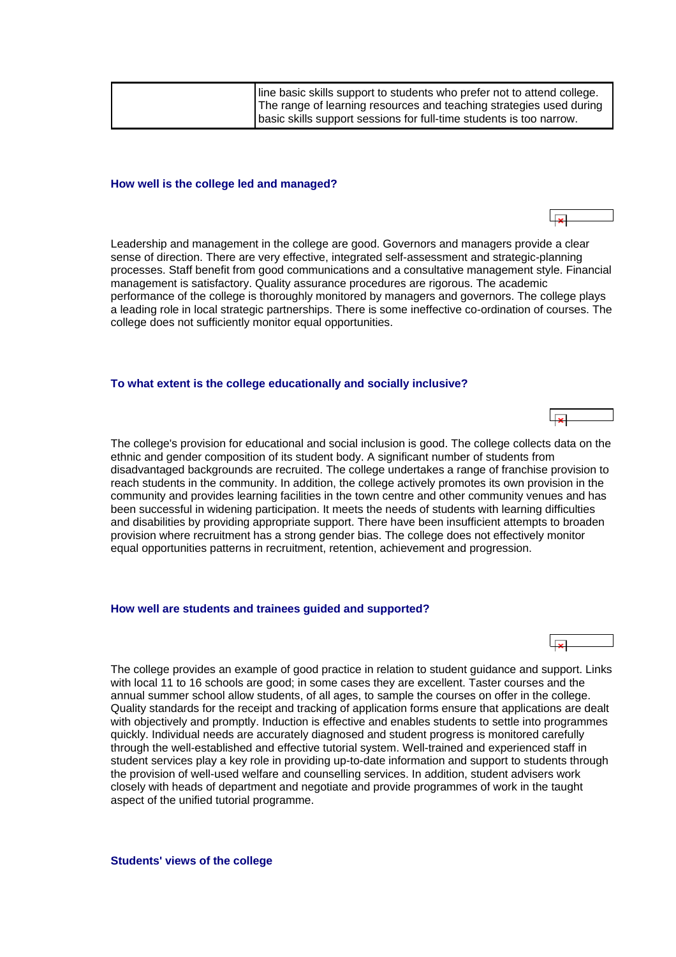<span id="page-5-0"></span>

| line basic skills support to students who prefer not to attend college.<br>The range of learning resources and teaching strategies used during |
|------------------------------------------------------------------------------------------------------------------------------------------------|
| basic skills support sessions for full-time students is too narrow.                                                                            |

#### **How well is the college led and managed?**

Leadership and management in the college are good. Governors and managers provide a clear sense of direction. There are very effective, integrated self-assessment and strategic-planning processes. Staff benefit from good communications and a consultative management style. Financial management is satisfactory. Quality assurance procedures are rigorous. The academic performance of the college is thoroughly monitored by managers and governors. The college plays a leading role in local strategic partnerships. There is some ineffective co-ordination of courses. The college does not sufficiently monitor equal opportunities.

#### **To what extent is the college educationally and socially inclusive?**

The college's provision for educational and social inclusion is good. The college collects data on the ethnic and gender composition of its student body. A significant number of students from disadvantaged backgrounds are recruited. The college undertakes a range of franchise provision to reach students in the community. In addition, the college actively promotes its own provision in the community and provides learning facilities in the town centre and other community venues and has been successful in widening participation. It meets the needs of students with learning difficulties and disabilities by providing appropriate support. There have been insufficient attempts to broaden provision where recruitment has a strong gender bias. The college does not effectively monitor equal opportunities patterns in recruitment, retention, achievement and progression.

#### **How well are students and trainees guided and supported?**

The college provides an example of good practice in relation to student guidance and support. Links with local 11 to 16 schools are good; in some cases they are excellent. Taster courses and the annual summer school allow students, of all ages, to sample the courses on offer in the college. Quality standards for the receipt and tracking of application forms ensure that applications are dealt with objectively and promptly. Induction is effective and enables students to settle into programmes quickly. Individual needs are accurately diagnosed and student progress is monitored carefully through the well-established and effective tutorial system. Well-trained and experienced staff in student services play a key role in providing up-to-date information and support to students through the provision of well-used welfare and counselling services. In addition, student advisers work closely with heads of department and negotiate and provide programmes of work in the taught aspect of the unified tutorial programme.

**Students' views of the college**





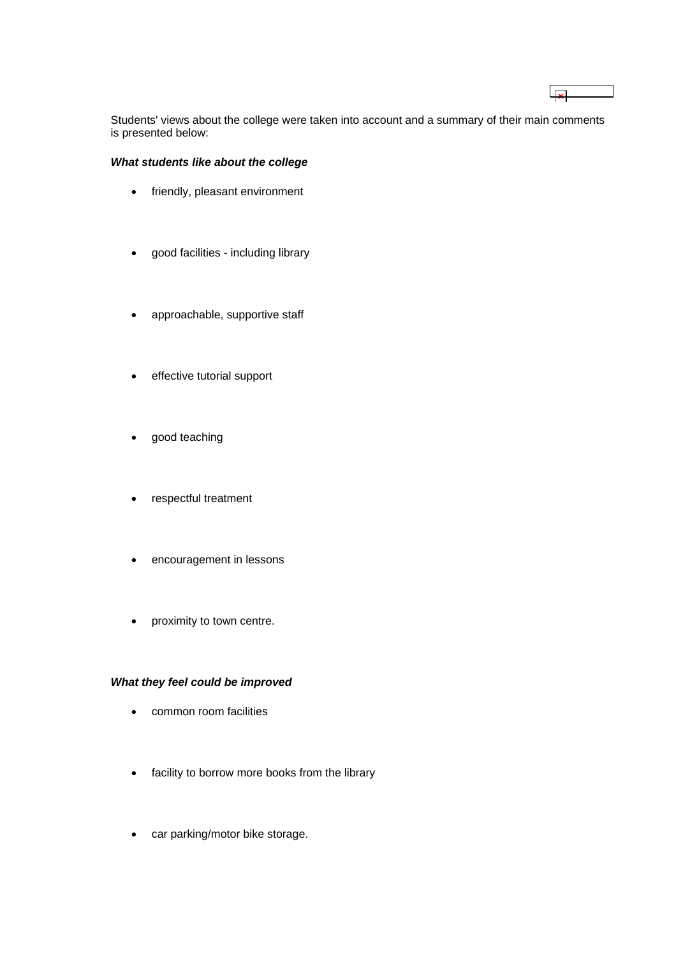Students' views about the college were taken into account and a summary of their main comments is presented below:

 $\overline{R}$ 

## *What students like about the college*

- friendly, pleasant environment
- good facilities including library
- approachable, supportive staff
- effective tutorial support
- good teaching
- respectful treatment
- encouragement in lessons
- proximity to town centre.

### *What they feel could be improved*

- common room facilities
- facility to borrow more books from the library
- car parking/motor bike storage.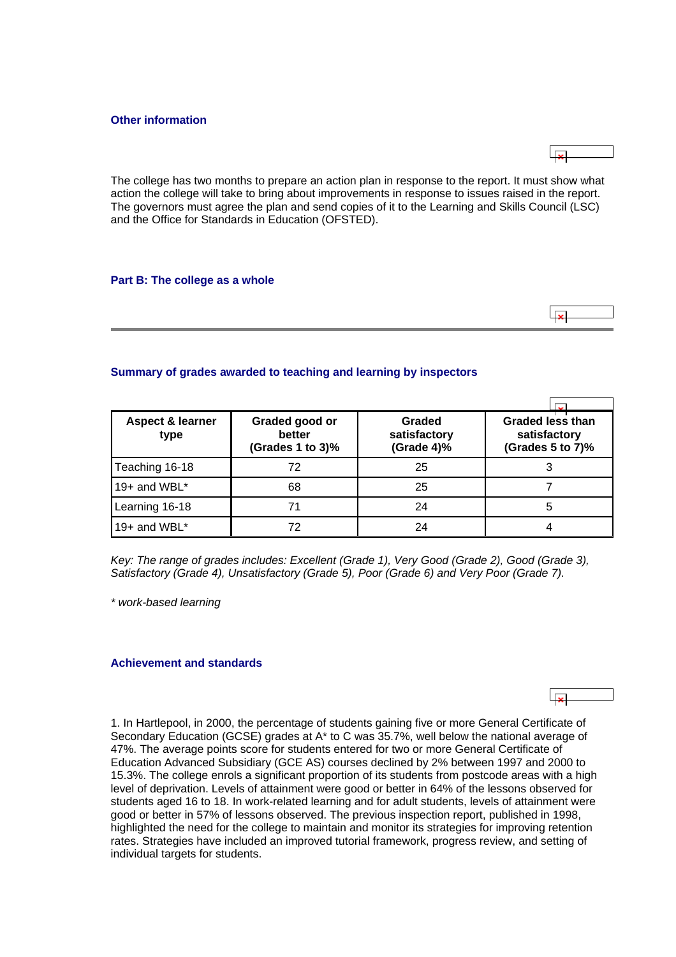#### <span id="page-7-0"></span>**Other information**



The college has two months to prepare an action plan in response to the report. It must show what action the college will take to bring about improvements in response to issues raised in the report. The governors must agree the plan and send copies of it to the Learning and Skills Council (LSC) and the Office for Standards in Education (OFSTED).

#### **Part B: The college as a whole**

### **Summary of grades awarded to teaching and learning by inspectors**

| Aspect & learner<br>type | Graded good or<br>better<br>(Grades 1 to 3)% | Graded<br>satisfactory<br>(Grade 4)% | <b>Graded less than</b><br>satisfactory<br>(Grades 5 to 7)% |
|--------------------------|----------------------------------------------|--------------------------------------|-------------------------------------------------------------|
| Teaching 16-18           | 72                                           | 25                                   |                                                             |
| 19+ and WBL $*$          | 68                                           | 25                                   |                                                             |
| Learning 16-18           | 71                                           | 24                                   | 5                                                           |
| 19+ and WBL*             | 72                                           | 24                                   |                                                             |

*Key: The range of grades includes: Excellent (Grade 1), Very Good (Grade 2), Good (Grade 3), Satisfactory (Grade 4), Unsatisfactory (Grade 5), Poor (Grade 6) and Very Poor (Grade 7).*

*\* work-based learning*

#### **Achievement and standards**

1. In Hartlepool, in 2000, the percentage of students gaining five or more General Certificate of Secondary Education (GCSE) grades at A\* to C was 35.7%, well below the national average of 47%. The average points score for students entered for two or more General Certificate of Education Advanced Subsidiary (GCE AS) courses declined by 2% between 1997 and 2000 to 15.3%. The college enrols a significant proportion of its students from postcode areas with a high level of deprivation. Levels of attainment were good or better in 64% of the lessons observed for students aged 16 to 18. In work-related learning and for adult students, levels of attainment were good or better in 57% of lessons observed. The previous inspection report, published in 1998, highlighted the need for the college to maintain and monitor its strategies for improving retention rates. Strategies have included an improved tutorial framework, progress review, and setting of individual targets for students.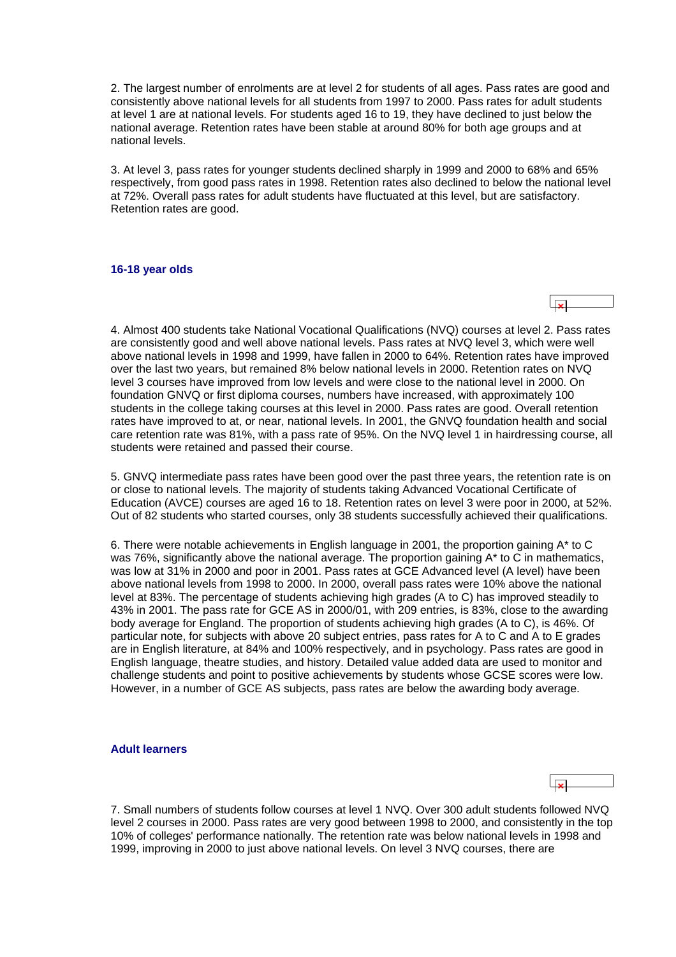<span id="page-8-0"></span>2. The largest number of enrolments are at level 2 for students of all ages. Pass rates are good and consistently above national levels for all students from 1997 to 2000. Pass rates for adult students at level 1 are at national levels. For students aged 16 to 19, they have declined to just below the national average. Retention rates have been stable at around 80% for both age groups and at national levels.

3. At level 3, pass rates for younger students declined sharply in 1999 and 2000 to 68% and 65% respectively, from good pass rates in 1998. Retention rates also declined to below the national level at 72%. Overall pass rates for adult students have fluctuated at this level, but are satisfactory. Retention rates are good.

#### **16-18 year olds**

4. Almost 400 students take National Vocational Qualifications (NVQ) courses at level 2. Pass rates are consistently good and well above national levels. Pass rates at NVQ level 3, which were well above national levels in 1998 and 1999, have fallen in 2000 to 64%. Retention rates have improved over the last two years, but remained 8% below national levels in 2000. Retention rates on NVQ level 3 courses have improved from low levels and were close to the national level in 2000. On foundation GNVQ or first diploma courses, numbers have increased, with approximately 100 students in the college taking courses at this level in 2000. Pass rates are good. Overall retention rates have improved to at, or near, national levels. In 2001, the GNVQ foundation health and social care retention rate was 81%, with a pass rate of 95%. On the NVQ level 1 in hairdressing course, all students were retained and passed their course.

5. GNVQ intermediate pass rates have been good over the past three years, the retention rate is on or close to national levels. The majority of students taking Advanced Vocational Certificate of Education (AVCE) courses are aged 16 to 18. Retention rates on level 3 were poor in 2000, at 52%. Out of 82 students who started courses, only 38 students successfully achieved their qualifications.

6. There were notable achievements in English language in 2001, the proportion gaining A\* to C was 76%, significantly above the national average. The proportion gaining A<sup>\*</sup> to C in mathematics, was low at 31% in 2000 and poor in 2001. Pass rates at GCE Advanced level (A level) have been above national levels from 1998 to 2000. In 2000, overall pass rates were 10% above the national level at 83%. The percentage of students achieving high grades (A to C) has improved steadily to 43% in 2001. The pass rate for GCE AS in 2000/01, with 209 entries, is 83%, close to the awarding body average for England. The proportion of students achieving high grades (A to C), is 46%. Of particular note, for subjects with above 20 subject entries, pass rates for A to C and A to E grades are in English literature, at 84% and 100% respectively, and in psychology. Pass rates are good in English language, theatre studies, and history. Detailed value added data are used to monitor and challenge students and point to positive achievements by students whose GCSE scores were low. However, in a number of GCE AS subjects, pass rates are below the awarding body average.

#### **Adult learners**

7. Small numbers of students follow courses at level 1 NVQ. Over 300 adult students followed NVQ level 2 courses in 2000. Pass rates are very good between 1998 to 2000, and consistently in the top 10% of colleges' performance nationally. The retention rate was below national levels in 1998 and 1999, improving in 2000 to just above national levels. On level 3 NVQ courses, there are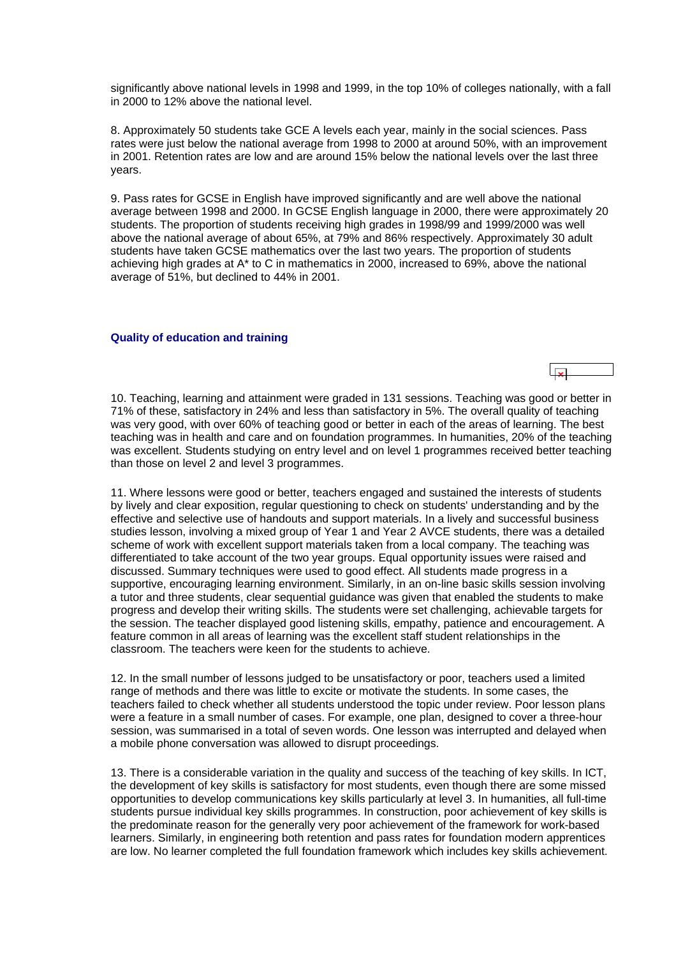<span id="page-9-0"></span>significantly above national levels in 1998 and 1999, in the top 10% of colleges nationally, with a fall in 2000 to 12% above the national level.

8. Approximately 50 students take GCE A levels each year, mainly in the social sciences. Pass rates were just below the national average from 1998 to 2000 at around 50%, with an improvement in 2001. Retention rates are low and are around 15% below the national levels over the last three years.

9. Pass rates for GCSE in English have improved significantly and are well above the national average between 1998 and 2000. In GCSE English language in 2000, there were approximately 20 students. The proportion of students receiving high grades in 1998/99 and 1999/2000 was well above the national average of about 65%, at 79% and 86% respectively. Approximately 30 adult students have taken GCSE mathematics over the last two years. The proportion of students achieving high grades at A\* to C in mathematics in 2000, increased to 69%, above the national average of 51%, but declined to 44% in 2001.

#### **Quality of education and training**

10. Teaching, learning and attainment were graded in 131 sessions. Teaching was good or better in 71% of these, satisfactory in 24% and less than satisfactory in 5%. The overall quality of teaching was very good, with over 60% of teaching good or better in each of the areas of learning. The best teaching was in health and care and on foundation programmes. In humanities, 20% of the teaching was excellent. Students studying on entry level and on level 1 programmes received better teaching than those on level 2 and level 3 programmes.

11. Where lessons were good or better, teachers engaged and sustained the interests of students by lively and clear exposition, regular questioning to check on students' understanding and by the effective and selective use of handouts and support materials. In a lively and successful business studies lesson, involving a mixed group of Year 1 and Year 2 AVCE students, there was a detailed scheme of work with excellent support materials taken from a local company. The teaching was differentiated to take account of the two year groups. Equal opportunity issues were raised and discussed. Summary techniques were used to good effect. All students made progress in a supportive, encouraging learning environment. Similarly, in an on-line basic skills session involving a tutor and three students, clear sequential guidance was given that enabled the students to make progress and develop their writing skills. The students were set challenging, achievable targets for the session. The teacher displayed good listening skills, empathy, patience and encouragement. A feature common in all areas of learning was the excellent staff student relationships in the classroom. The teachers were keen for the students to achieve.

12. In the small number of lessons judged to be unsatisfactory or poor, teachers used a limited range of methods and there was little to excite or motivate the students. In some cases, the teachers failed to check whether all students understood the topic under review. Poor lesson plans were a feature in a small number of cases. For example, one plan, designed to cover a three-hour session, was summarised in a total of seven words. One lesson was interrupted and delayed when a mobile phone conversation was allowed to disrupt proceedings.

13. There is a considerable variation in the quality and success of the teaching of key skills. In ICT, the development of key skills is satisfactory for most students, even though there are some missed opportunities to develop communications key skills particularly at level 3. In humanities, all full-time students pursue individual key skills programmes. In construction, poor achievement of key skills is the predominate reason for the generally very poor achievement of the framework for work-based learners. Similarly, in engineering both retention and pass rates for foundation modern apprentices are low. No learner completed the full foundation framework which includes key skills achievement.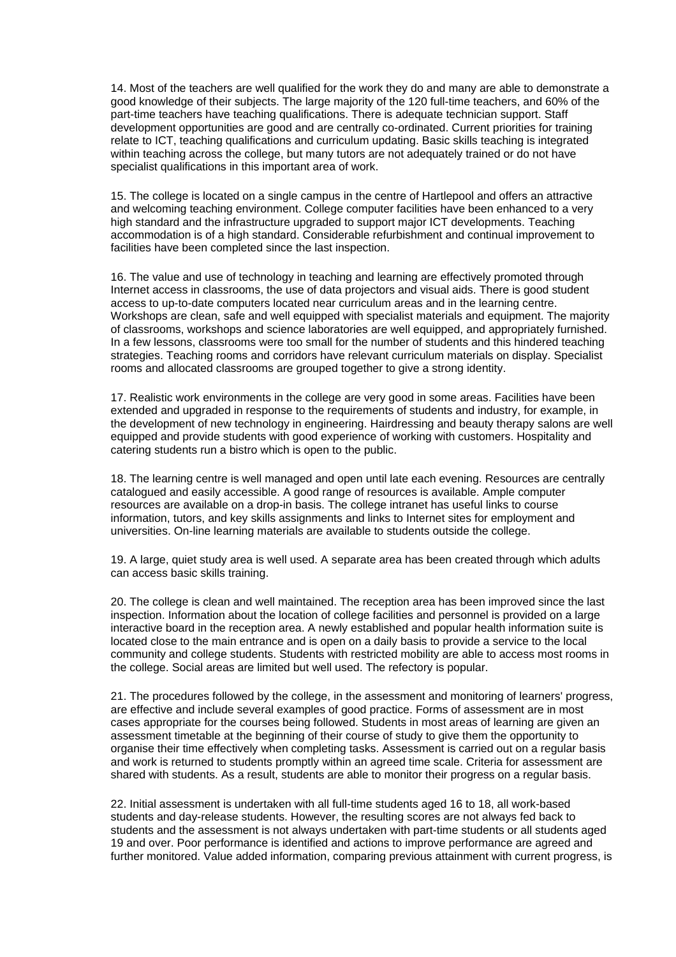14. Most of the teachers are well qualified for the work they do and many are able to demonstrate a good knowledge of their subjects. The large majority of the 120 full-time teachers, and 60% of the part-time teachers have teaching qualifications. There is adequate technician support. Staff development opportunities are good and are centrally co-ordinated. Current priorities for training relate to ICT, teaching qualifications and curriculum updating. Basic skills teaching is integrated within teaching across the college, but many tutors are not adequately trained or do not have specialist qualifications in this important area of work.

15. The college is located on a single campus in the centre of Hartlepool and offers an attractive and welcoming teaching environment. College computer facilities have been enhanced to a very high standard and the infrastructure upgraded to support major ICT developments. Teaching accommodation is of a high standard. Considerable refurbishment and continual improvement to facilities have been completed since the last inspection.

16. The value and use of technology in teaching and learning are effectively promoted through Internet access in classrooms, the use of data projectors and visual aids. There is good student access to up-to-date computers located near curriculum areas and in the learning centre. Workshops are clean, safe and well equipped with specialist materials and equipment. The majority of classrooms, workshops and science laboratories are well equipped, and appropriately furnished. In a few lessons, classrooms were too small for the number of students and this hindered teaching strategies. Teaching rooms and corridors have relevant curriculum materials on display. Specialist rooms and allocated classrooms are grouped together to give a strong identity.

17. Realistic work environments in the college are very good in some areas. Facilities have been extended and upgraded in response to the requirements of students and industry, for example, in the development of new technology in engineering. Hairdressing and beauty therapy salons are well equipped and provide students with good experience of working with customers. Hospitality and catering students run a bistro which is open to the public.

18. The learning centre is well managed and open until late each evening. Resources are centrally catalogued and easily accessible. A good range of resources is available. Ample computer resources are available on a drop-in basis. The college intranet has useful links to course information, tutors, and key skills assignments and links to Internet sites for employment and universities. On-line learning materials are available to students outside the college.

19. A large, quiet study area is well used. A separate area has been created through which adults can access basic skills training.

20. The college is clean and well maintained. The reception area has been improved since the last inspection. Information about the location of college facilities and personnel is provided on a large interactive board in the reception area. A newly established and popular health information suite is located close to the main entrance and is open on a daily basis to provide a service to the local community and college students. Students with restricted mobility are able to access most rooms in the college. Social areas are limited but well used. The refectory is popular.

21. The procedures followed by the college, in the assessment and monitoring of learners' progress, are effective and include several examples of good practice. Forms of assessment are in most cases appropriate for the courses being followed. Students in most areas of learning are given an assessment timetable at the beginning of their course of study to give them the opportunity to organise their time effectively when completing tasks. Assessment is carried out on a regular basis and work is returned to students promptly within an agreed time scale. Criteria for assessment are shared with students. As a result, students are able to monitor their progress on a regular basis.

22. Initial assessment is undertaken with all full-time students aged 16 to 18, all work-based students and day-release students. However, the resulting scores are not always fed back to students and the assessment is not always undertaken with part-time students or all students aged 19 and over. Poor performance is identified and actions to improve performance are agreed and further monitored. Value added information, comparing previous attainment with current progress, is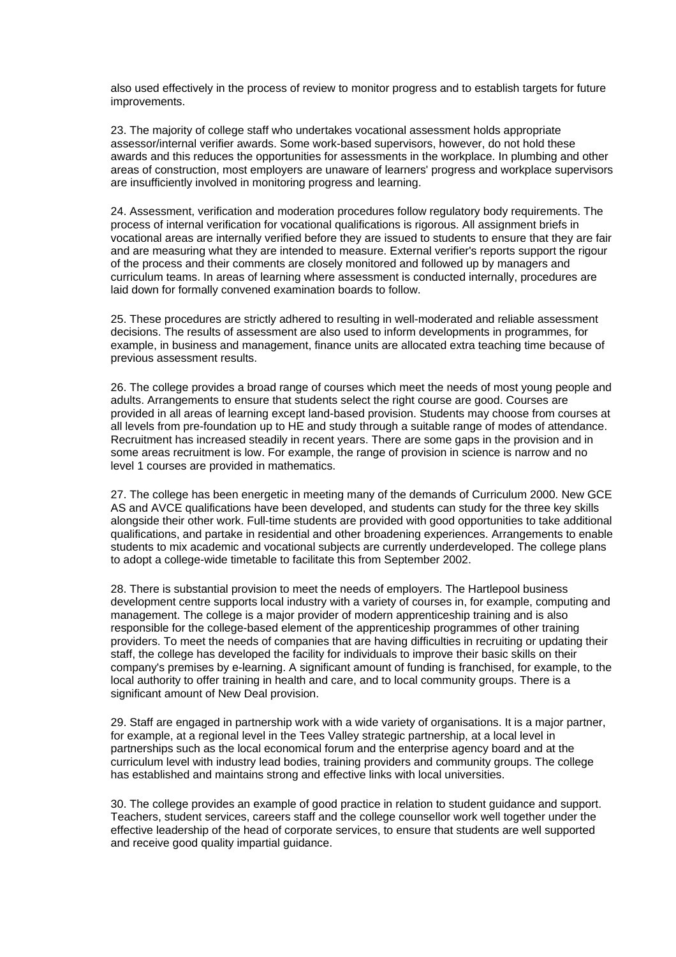also used effectively in the process of review to monitor progress and to establish targets for future improvements.

23. The majority of college staff who undertakes vocational assessment holds appropriate assessor/internal verifier awards. Some work-based supervisors, however, do not hold these awards and this reduces the opportunities for assessments in the workplace. In plumbing and other areas of construction, most employers are unaware of learners' progress and workplace supervisors are insufficiently involved in monitoring progress and learning.

24. Assessment, verification and moderation procedures follow regulatory body requirements. The process of internal verification for vocational qualifications is rigorous. All assignment briefs in vocational areas are internally verified before they are issued to students to ensure that they are fair and are measuring what they are intended to measure. External verifier's reports support the rigour of the process and their comments are closely monitored and followed up by managers and curriculum teams. In areas of learning where assessment is conducted internally, procedures are laid down for formally convened examination boards to follow.

25. These procedures are strictly adhered to resulting in well-moderated and reliable assessment decisions. The results of assessment are also used to inform developments in programmes, for example, in business and management, finance units are allocated extra teaching time because of previous assessment results.

26. The college provides a broad range of courses which meet the needs of most young people and adults. Arrangements to ensure that students select the right course are good. Courses are provided in all areas of learning except land-based provision. Students may choose from courses at all levels from pre-foundation up to HE and study through a suitable range of modes of attendance. Recruitment has increased steadily in recent years. There are some gaps in the provision and in some areas recruitment is low. For example, the range of provision in science is narrow and no level 1 courses are provided in mathematics.

27. The college has been energetic in meeting many of the demands of Curriculum 2000. New GCE AS and AVCE qualifications have been developed, and students can study for the three key skills alongside their other work. Full-time students are provided with good opportunities to take additional qualifications, and partake in residential and other broadening experiences. Arrangements to enable students to mix academic and vocational subjects are currently underdeveloped. The college plans to adopt a college-wide timetable to facilitate this from September 2002.

28. There is substantial provision to meet the needs of employers. The Hartlepool business development centre supports local industry with a variety of courses in, for example, computing and management. The college is a major provider of modern apprenticeship training and is also responsible for the college-based element of the apprenticeship programmes of other training providers. To meet the needs of companies that are having difficulties in recruiting or updating their staff, the college has developed the facility for individuals to improve their basic skills on their company's premises by e-learning. A significant amount of funding is franchised, for example, to the local authority to offer training in health and care, and to local community groups. There is a significant amount of New Deal provision.

29. Staff are engaged in partnership work with a wide variety of organisations. It is a major partner, for example, at a regional level in the Tees Valley strategic partnership, at a local level in partnerships such as the local economical forum and the enterprise agency board and at the curriculum level with industry lead bodies, training providers and community groups. The college has established and maintains strong and effective links with local universities.

30. The college provides an example of good practice in relation to student guidance and support. Teachers, student services, careers staff and the college counsellor work well together under the effective leadership of the head of corporate services, to ensure that students are well supported and receive good quality impartial guidance.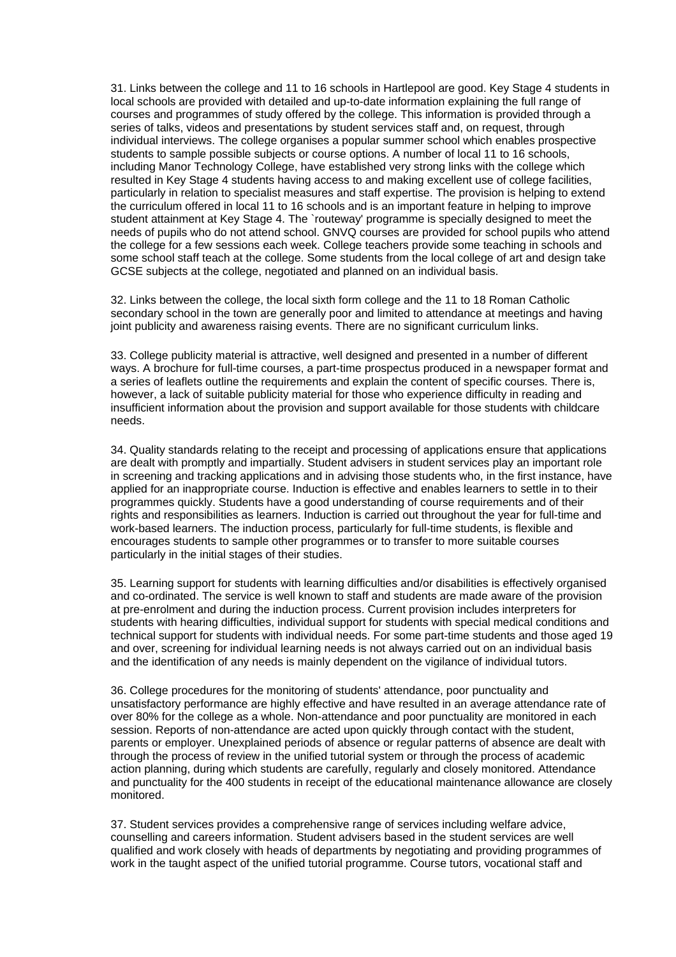31. Links between the college and 11 to 16 schools in Hartlepool are good. Key Stage 4 students in local schools are provided with detailed and up-to-date information explaining the full range of courses and programmes of study offered by the college. This information is provided through a series of talks, videos and presentations by student services staff and, on request, through individual interviews. The college organises a popular summer school which enables prospective students to sample possible subjects or course options. A number of local 11 to 16 schools, including Manor Technology College, have established very strong links with the college which resulted in Key Stage 4 students having access to and making excellent use of college facilities, particularly in relation to specialist measures and staff expertise. The provision is helping to extend the curriculum offered in local 11 to 16 schools and is an important feature in helping to improve student attainment at Key Stage 4. The `routeway' programme is specially designed to meet the needs of pupils who do not attend school. GNVQ courses are provided for school pupils who attend the college for a few sessions each week. College teachers provide some teaching in schools and some school staff teach at the college. Some students from the local college of art and design take GCSE subjects at the college, negotiated and planned on an individual basis.

32. Links between the college, the local sixth form college and the 11 to 18 Roman Catholic secondary school in the town are generally poor and limited to attendance at meetings and having joint publicity and awareness raising events. There are no significant curriculum links.

33. College publicity material is attractive, well designed and presented in a number of different ways. A brochure for full-time courses, a part-time prospectus produced in a newspaper format and a series of leaflets outline the requirements and explain the content of specific courses. There is, however, a lack of suitable publicity material for those who experience difficulty in reading and insufficient information about the provision and support available for those students with childcare needs.

34. Quality standards relating to the receipt and processing of applications ensure that applications are dealt with promptly and impartially. Student advisers in student services play an important role in screening and tracking applications and in advising those students who, in the first instance, have applied for an inappropriate course. Induction is effective and enables learners to settle in to their programmes quickly. Students have a good understanding of course requirements and of their rights and responsibilities as learners. Induction is carried out throughout the year for full-time and work-based learners. The induction process, particularly for full-time students, is flexible and encourages students to sample other programmes or to transfer to more suitable courses particularly in the initial stages of their studies.

35. Learning support for students with learning difficulties and/or disabilities is effectively organised and co-ordinated. The service is well known to staff and students are made aware of the provision at pre-enrolment and during the induction process. Current provision includes interpreters for students with hearing difficulties, individual support for students with special medical conditions and technical support for students with individual needs. For some part-time students and those aged 19 and over, screening for individual learning needs is not always carried out on an individual basis and the identification of any needs is mainly dependent on the vigilance of individual tutors.

36. College procedures for the monitoring of students' attendance, poor punctuality and unsatisfactory performance are highly effective and have resulted in an average attendance rate of over 80% for the college as a whole. Non-attendance and poor punctuality are monitored in each session. Reports of non-attendance are acted upon quickly through contact with the student, parents or employer. Unexplained periods of absence or regular patterns of absence are dealt with through the process of review in the unified tutorial system or through the process of academic action planning, during which students are carefully, regularly and closely monitored. Attendance and punctuality for the 400 students in receipt of the educational maintenance allowance are closely monitored.

37. Student services provides a comprehensive range of services including welfare advice, counselling and careers information. Student advisers based in the student services are well qualified and work closely with heads of departments by negotiating and providing programmes of work in the taught aspect of the unified tutorial programme. Course tutors, vocational staff and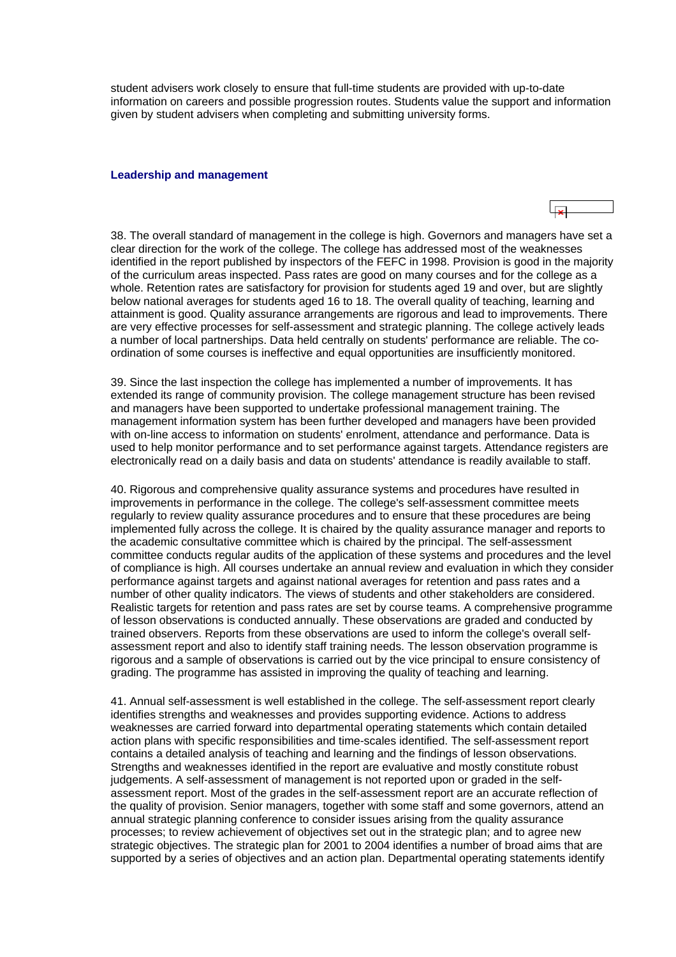<span id="page-13-0"></span>student advisers work closely to ensure that full-time students are provided with up-to-date information on careers and possible progression routes. Students value the support and information given by student advisers when completing and submitting university forms.

#### **Leadership and management**

38. The overall standard of management in the college is high. Governors and managers have set a clear direction for the work of the college. The college has addressed most of the weaknesses identified in the report published by inspectors of the FEFC in 1998. Provision is good in the majority of the curriculum areas inspected. Pass rates are good on many courses and for the college as a whole. Retention rates are satisfactory for provision for students aged 19 and over, but are slightly below national averages for students aged 16 to 18. The overall quality of teaching, learning and attainment is good. Quality assurance arrangements are rigorous and lead to improvements. There are very effective processes for self-assessment and strategic planning. The college actively leads a number of local partnerships. Data held centrally on students' performance are reliable. The coordination of some courses is ineffective and equal opportunities are insufficiently monitored.

 $\overline{\phantom{a}}$ 

39. Since the last inspection the college has implemented a number of improvements. It has extended its range of community provision. The college management structure has been revised and managers have been supported to undertake professional management training. The management information system has been further developed and managers have been provided with on-line access to information on students' enrolment, attendance and performance. Data is used to help monitor performance and to set performance against targets. Attendance registers are electronically read on a daily basis and data on students' attendance is readily available to staff.

40. Rigorous and comprehensive quality assurance systems and procedures have resulted in improvements in performance in the college. The college's self-assessment committee meets regularly to review quality assurance procedures and to ensure that these procedures are being implemented fully across the college. It is chaired by the quality assurance manager and reports to the academic consultative committee which is chaired by the principal. The self-assessment committee conducts regular audits of the application of these systems and procedures and the level of compliance is high. All courses undertake an annual review and evaluation in which they consider performance against targets and against national averages for retention and pass rates and a number of other quality indicators. The views of students and other stakeholders are considered. Realistic targets for retention and pass rates are set by course teams. A comprehensive programme of lesson observations is conducted annually. These observations are graded and conducted by trained observers. Reports from these observations are used to inform the college's overall selfassessment report and also to identify staff training needs. The lesson observation programme is rigorous and a sample of observations is carried out by the vice principal to ensure consistency of grading. The programme has assisted in improving the quality of teaching and learning.

41. Annual self-assessment is well established in the college. The self-assessment report clearly identifies strengths and weaknesses and provides supporting evidence. Actions to address weaknesses are carried forward into departmental operating statements which contain detailed action plans with specific responsibilities and time-scales identified. The self-assessment report contains a detailed analysis of teaching and learning and the findings of lesson observations. Strengths and weaknesses identified in the report are evaluative and mostly constitute robust judgements. A self-assessment of management is not reported upon or graded in the selfassessment report. Most of the grades in the self-assessment report are an accurate reflection of the quality of provision. Senior managers, together with some staff and some governors, attend an annual strategic planning conference to consider issues arising from the quality assurance processes; to review achievement of objectives set out in the strategic plan; and to agree new strategic objectives. The strategic plan for 2001 to 2004 identifies a number of broad aims that are supported by a series of objectives and an action plan. Departmental operating statements identify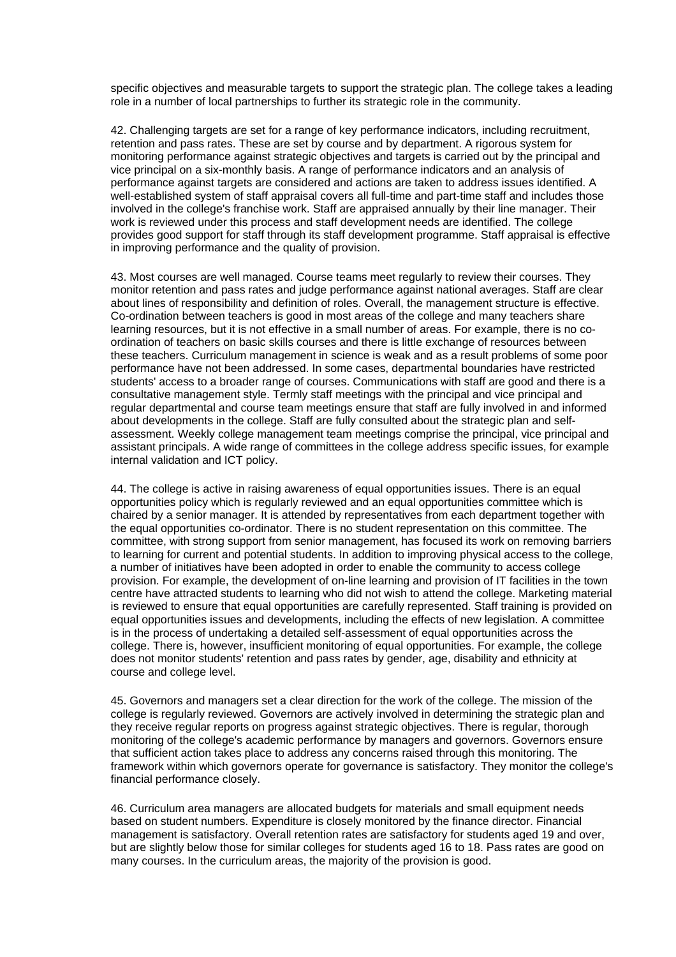specific objectives and measurable targets to support the strategic plan. The college takes a leading role in a number of local partnerships to further its strategic role in the community.

42. Challenging targets are set for a range of key performance indicators, including recruitment, retention and pass rates. These are set by course and by department. A rigorous system for monitoring performance against strategic objectives and targets is carried out by the principal and vice principal on a six-monthly basis. A range of performance indicators and an analysis of performance against targets are considered and actions are taken to address issues identified. A well-established system of staff appraisal covers all full-time and part-time staff and includes those involved in the college's franchise work. Staff are appraised annually by their line manager. Their work is reviewed under this process and staff development needs are identified. The college provides good support for staff through its staff development programme. Staff appraisal is effective in improving performance and the quality of provision.

43. Most courses are well managed. Course teams meet regularly to review their courses. They monitor retention and pass rates and judge performance against national averages. Staff are clear about lines of responsibility and definition of roles. Overall, the management structure is effective. Co-ordination between teachers is good in most areas of the college and many teachers share learning resources, but it is not effective in a small number of areas. For example, there is no coordination of teachers on basic skills courses and there is little exchange of resources between these teachers. Curriculum management in science is weak and as a result problems of some poor performance have not been addressed. In some cases, departmental boundaries have restricted students' access to a broader range of courses. Communications with staff are good and there is a consultative management style. Termly staff meetings with the principal and vice principal and regular departmental and course team meetings ensure that staff are fully involved in and informed about developments in the college. Staff are fully consulted about the strategic plan and selfassessment. Weekly college management team meetings comprise the principal, vice principal and assistant principals. A wide range of committees in the college address specific issues, for example internal validation and ICT policy.

44. The college is active in raising awareness of equal opportunities issues. There is an equal opportunities policy which is regularly reviewed and an equal opportunities committee which is chaired by a senior manager. It is attended by representatives from each department together with the equal opportunities co-ordinator. There is no student representation on this committee. The committee, with strong support from senior management, has focused its work on removing barriers to learning for current and potential students. In addition to improving physical access to the college, a number of initiatives have been adopted in order to enable the community to access college provision. For example, the development of on-line learning and provision of IT facilities in the town centre have attracted students to learning who did not wish to attend the college. Marketing material is reviewed to ensure that equal opportunities are carefully represented. Staff training is provided on equal opportunities issues and developments, including the effects of new legislation. A committee is in the process of undertaking a detailed self-assessment of equal opportunities across the college. There is, however, insufficient monitoring of equal opportunities. For example, the college does not monitor students' retention and pass rates by gender, age, disability and ethnicity at course and college level.

45. Governors and managers set a clear direction for the work of the college. The mission of the college is regularly reviewed. Governors are actively involved in determining the strategic plan and they receive regular reports on progress against strategic objectives. There is regular, thorough monitoring of the college's academic performance by managers and governors. Governors ensure that sufficient action takes place to address any concerns raised through this monitoring. The framework within which governors operate for governance is satisfactory. They monitor the college's financial performance closely.

46. Curriculum area managers are allocated budgets for materials and small equipment needs based on student numbers. Expenditure is closely monitored by the finance director. Financial management is satisfactory. Overall retention rates are satisfactory for students aged 19 and over, but are slightly below those for similar colleges for students aged 16 to 18. Pass rates are good on many courses. In the curriculum areas, the majority of the provision is good.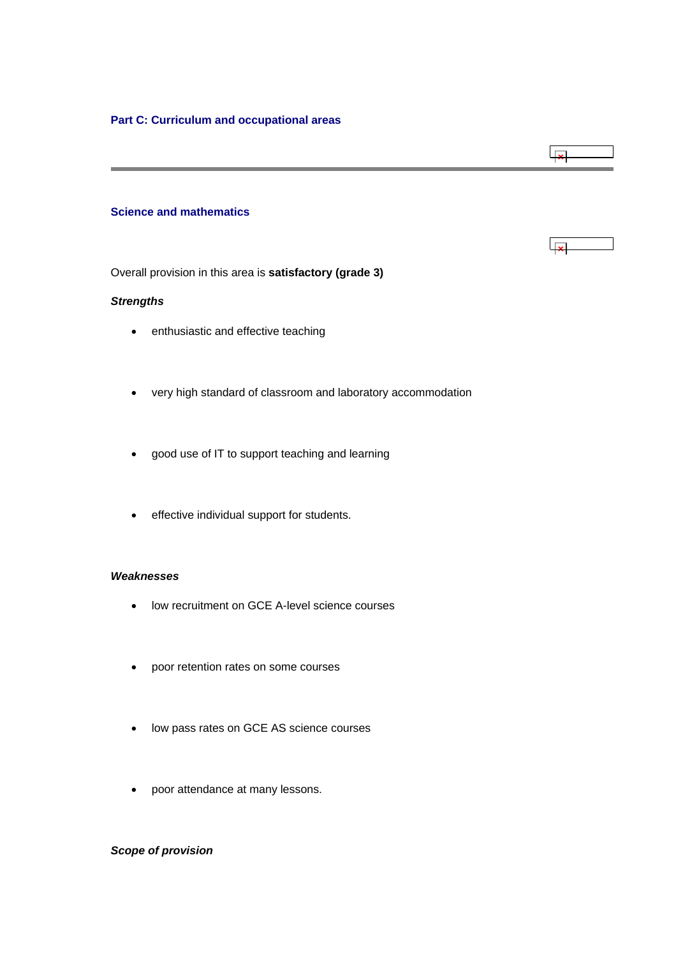# <span id="page-15-0"></span>**Science and mathematics**

Overall provision in this area is **satisfactory (grade 3)**

### *Strengths*

- enthusiastic and effective teaching
- very high standard of classroom and laboratory accommodation

لبجا

للعبا

- good use of IT to support teaching and learning
- effective individual support for students.

### *Weaknesses*

- low recruitment on GCE A-level science courses
- poor retention rates on some courses
- low pass rates on GCE AS science courses
- poor attendance at many lessons.

# *Scope of provision*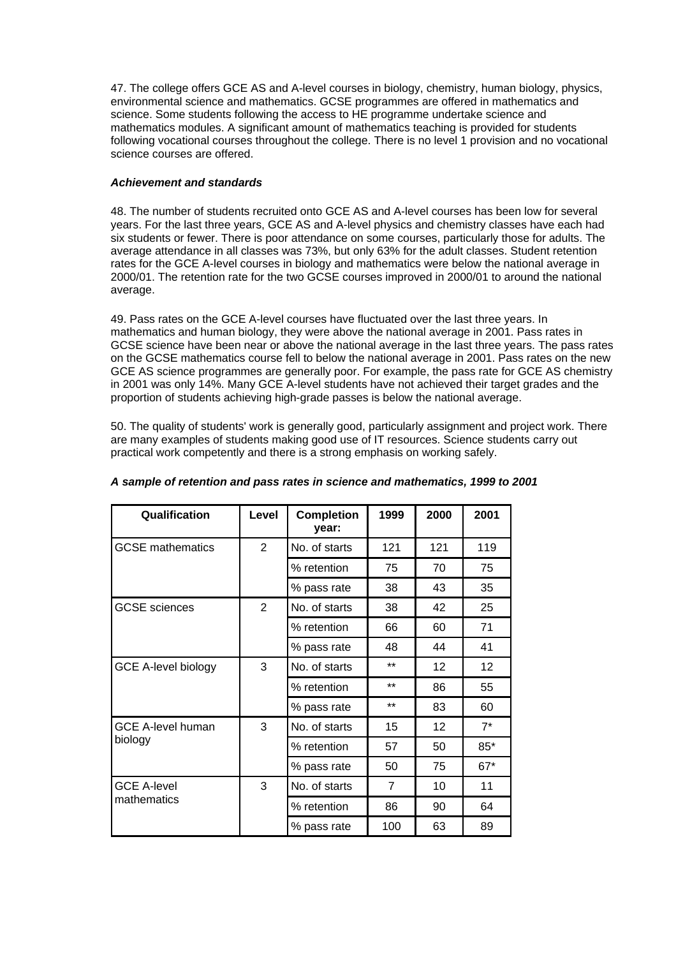47. The college offers GCE AS and A-level courses in biology, chemistry, human biology, physics, environmental science and mathematics. GCSE programmes are offered in mathematics and science. Some students following the access to HE programme undertake science and mathematics modules. A significant amount of mathematics teaching is provided for students following vocational courses throughout the college. There is no level 1 provision and no vocational science courses are offered.

# *Achievement and standards*

48. The number of students recruited onto GCE AS and A-level courses has been low for several years. For the last three years, GCE AS and A-level physics and chemistry classes have each had six students or fewer. There is poor attendance on some courses, particularly those for adults. The average attendance in all classes was 73%, but only 63% for the adult classes. Student retention rates for the GCE A-level courses in biology and mathematics were below the national average in 2000/01. The retention rate for the two GCSE courses improved in 2000/01 to around the national average.

49. Pass rates on the GCE A-level courses have fluctuated over the last three years. In mathematics and human biology, they were above the national average in 2001. Pass rates in GCSE science have been near or above the national average in the last three years. The pass rates on the GCSE mathematics course fell to below the national average in 2001. Pass rates on the new GCE AS science programmes are generally poor. For example, the pass rate for GCE AS chemistry in 2001 was only 14%. Many GCE A-level students have not achieved their target grades and the proportion of students achieving high-grade passes is below the national average.

50. The quality of students' work is generally good, particularly assignment and project work. There are many examples of students making good use of IT resources. Science students carry out practical work competently and there is a strong emphasis on working safely.

| Qualification              | Level          | <b>Completion</b><br>year: | 1999  | 2000 | 2001  |
|----------------------------|----------------|----------------------------|-------|------|-------|
| <b>GCSE</b> mathematics    | $\overline{2}$ | No. of starts              | 121   | 121  | 119   |
|                            |                | % retention                | 75    | 70   | 75    |
|                            |                | % pass rate                | 38    | 43   | 35    |
| <b>GCSE</b> sciences       | $\overline{2}$ | No. of starts              | 38    | 42   | 25    |
|                            |                | % retention                | 66    | 60   | 71    |
|                            |                | % pass rate                | 48    | 44   | 41    |
| <b>GCE A-level biology</b> | 3              | No. of starts              | $***$ | 12   | 12    |
|                            |                | % retention                | $***$ | 86   | 55    |
|                            |                | % pass rate                | $***$ | 83   | 60    |
| <b>GCE A-level human</b>   | 3              | No. of starts              | 15    | 12   | $7^*$ |
| biology                    |                | % retention                | 57    | 50   | $85*$ |
|                            |                | % pass rate                | 50    | 75   | $67*$ |
| <b>GCE A-level</b>         | 3              | No. of starts              | 7     | 10   | 11    |
| mathematics                |                | % retention                | 86    | 90   | 64    |
|                            |                | % pass rate                | 100   | 63   | 89    |

# *A sample of retention and pass rates in science and mathematics, 1999 to 2001*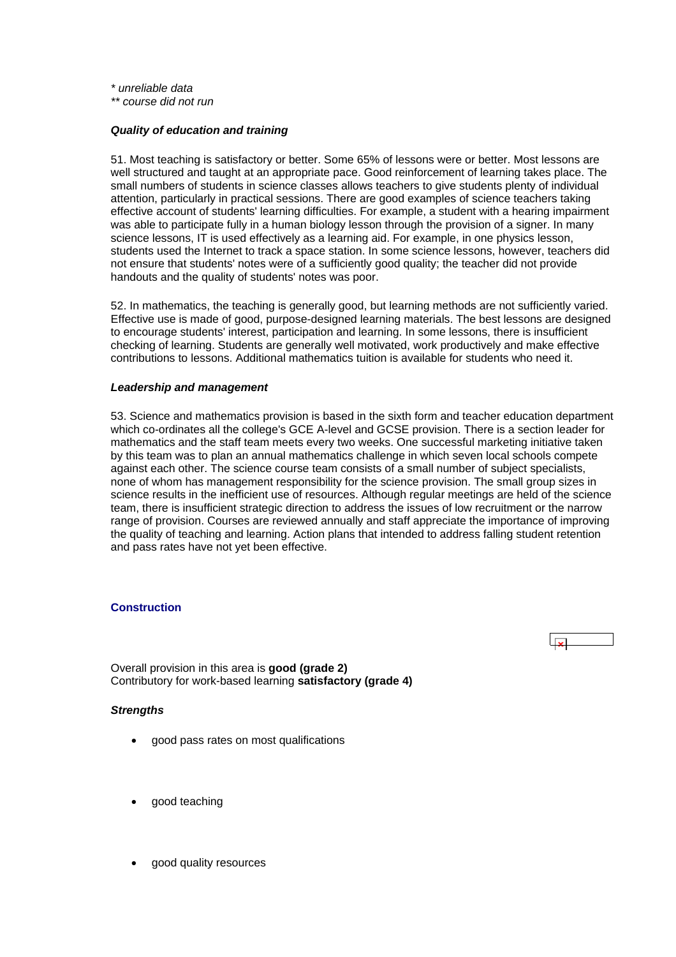<span id="page-17-0"></span>*\* unreliable data* 

*\*\* course did not run*

#### *Quality of education and training*

51. Most teaching is satisfactory or better. Some 65% of lessons were or better. Most lessons are well structured and taught at an appropriate pace. Good reinforcement of learning takes place. The small numbers of students in science classes allows teachers to give students plenty of individual attention, particularly in practical sessions. There are good examples of science teachers taking effective account of students' learning difficulties. For example, a student with a hearing impairment was able to participate fully in a human biology lesson through the provision of a signer. In many science lessons, IT is used effectively as a learning aid. For example, in one physics lesson, students used the Internet to track a space station. In some science lessons, however, teachers did not ensure that students' notes were of a sufficiently good quality; the teacher did not provide handouts and the quality of students' notes was poor.

52. In mathematics, the teaching is generally good, but learning methods are not sufficiently varied. Effective use is made of good, purpose-designed learning materials. The best lessons are designed to encourage students' interest, participation and learning. In some lessons, there is insufficient checking of learning. Students are generally well motivated, work productively and make effective contributions to lessons. Additional mathematics tuition is available for students who need it.

#### *Leadership and management*

53. Science and mathematics provision is based in the sixth form and teacher education department which co-ordinates all the college's GCE A-level and GCSE provision. There is a section leader for mathematics and the staff team meets every two weeks. One successful marketing initiative taken by this team was to plan an annual mathematics challenge in which seven local schools compete against each other. The science course team consists of a small number of subject specialists, none of whom has management responsibility for the science provision. The small group sizes in science results in the inefficient use of resources. Although regular meetings are held of the science team, there is insufficient strategic direction to address the issues of low recruitment or the narrow range of provision. Courses are reviewed annually and staff appreciate the importance of improving the quality of teaching and learning. Action plans that intended to address falling student retention and pass rates have not yet been effective.

#### **Construction**

Overall provision in this area is **good (grade 2)**  Contributory for work-based learning **satisfactory (grade 4)** 

#### *Strengths*

- good pass rates on most qualifications
- good teaching
- good quality resources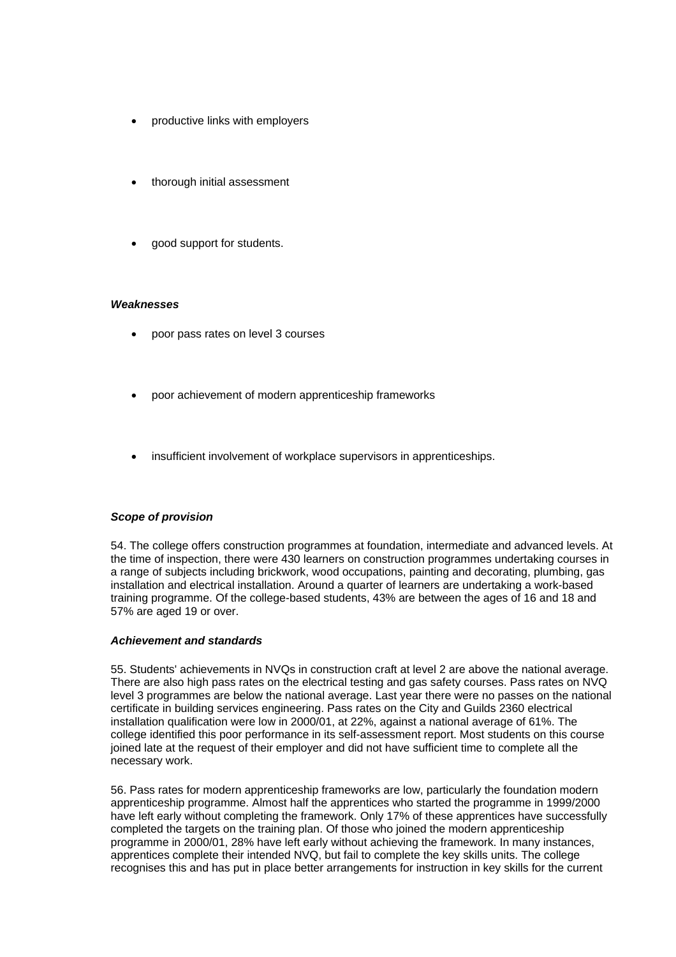- productive links with employers
- thorough initial assessment
- good support for students.

#### *Weaknesses*

- poor pass rates on level 3 courses
- poor achievement of modern apprenticeship frameworks
- insufficient involvement of workplace supervisors in apprenticeships.

### *Scope of provision*

54. The college offers construction programmes at foundation, intermediate and advanced levels. At the time of inspection, there were 430 learners on construction programmes undertaking courses in a range of subjects including brickwork, wood occupations, painting and decorating, plumbing, gas installation and electrical installation. Around a quarter of learners are undertaking a work-based training programme. Of the college-based students, 43% are between the ages of 16 and 18 and 57% are aged 19 or over.

#### *Achievement and standards*

55. Students' achievements in NVQs in construction craft at level 2 are above the national average. There are also high pass rates on the electrical testing and gas safety courses. Pass rates on NVQ level 3 programmes are below the national average. Last year there were no passes on the national certificate in building services engineering. Pass rates on the City and Guilds 2360 electrical installation qualification were low in 2000/01, at 22%, against a national average of 61%. The college identified this poor performance in its self-assessment report. Most students on this course joined late at the request of their employer and did not have sufficient time to complete all the necessary work.

56. Pass rates for modern apprenticeship frameworks are low, particularly the foundation modern apprenticeship programme. Almost half the apprentices who started the programme in 1999/2000 have left early without completing the framework. Only 17% of these apprentices have successfully completed the targets on the training plan. Of those who joined the modern apprenticeship programme in 2000/01, 28% have left early without achieving the framework. In many instances, apprentices complete their intended NVQ, but fail to complete the key skills units. The college recognises this and has put in place better arrangements for instruction in key skills for the current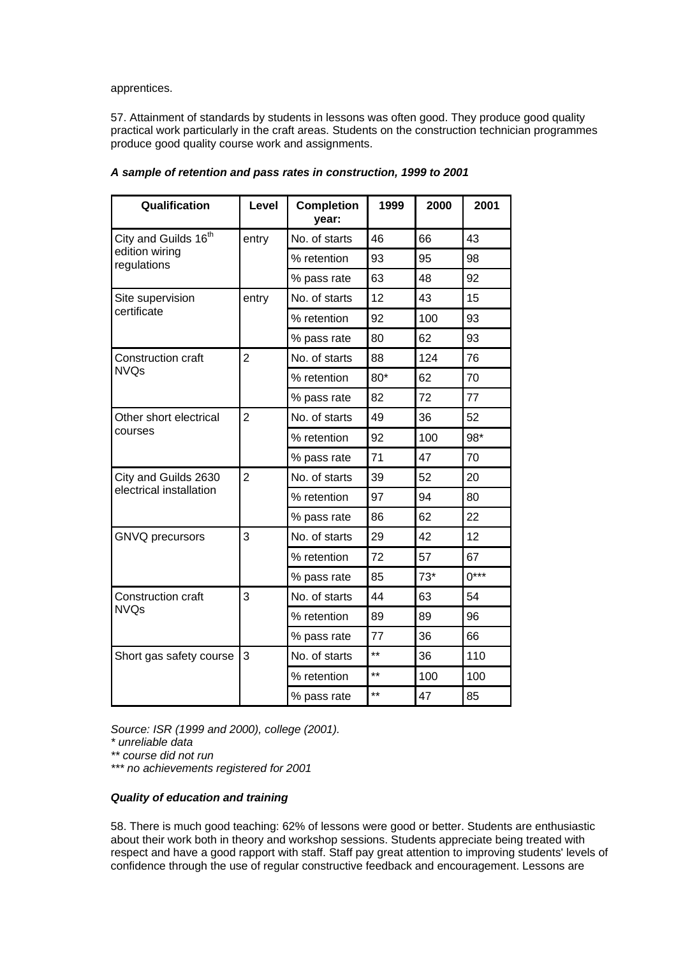apprentices.

57. Attainment of standards by students in lessons was often good. They produce good quality practical work particularly in the craft areas. Students on the construction technician programmes produce good quality course work and assignments.

| Qualification                    | Level          | <b>Completion</b><br>year: | 1999            | 2000  | 2001   |
|----------------------------------|----------------|----------------------------|-----------------|-------|--------|
| City and Guilds 16 <sup>th</sup> | entry          | No. of starts              | 46              | 66    | 43     |
| edition wiring<br>regulations    |                | % retention                | 93              | 95    | 98     |
|                                  |                | % pass rate                | 63              | 48    | 92     |
| Site supervision                 | entry          | No. of starts              | 12              | 43    | 15     |
| certificate                      |                | % retention                | 92              | 100   | 93     |
|                                  |                | % pass rate                | 80              | 62    | 93     |
| Construction craft               | $\overline{2}$ | No. of starts              | 88              | 124   | 76     |
| <b>NVQs</b>                      |                | % retention                | $80*$           | 62    | 70     |
|                                  |                | % pass rate                | 82              | 72    | 77     |
| Other short electrical           | $\overline{2}$ | No. of starts              | 49              | 36    | 52     |
| courses                          |                | % retention                | 92              | 100   | 98*    |
|                                  |                | % pass rate                | 71              | 47    | 70     |
| City and Guilds 2630             | $\overline{2}$ | No. of starts              | 39              | 52    | 20     |
| electrical installation          |                | % retention                | 97              | 94    | 80     |
|                                  |                | % pass rate                | 86              | 62    | 22     |
| GNVQ precursors                  | 3              | No. of starts              | 29              | 42    | 12     |
|                                  |                | % retention                | 72              | 57    | 67     |
|                                  |                | % pass rate                | 85              | $73*$ | $0***$ |
| Construction craft               | 3              | No. of starts              | 44              | 63    | 54     |
| <b>NVQs</b>                      |                | % retention                | 89              | 89    | 96     |
|                                  |                | % pass rate                | 77              | 36    | 66     |
| Short gas safety course          | 3              | No. of starts              | $^{\star\star}$ | 36    | 110    |
|                                  |                | % retention                | $***$           | 100   | 100    |
|                                  |                | % pass rate                | **              | 47    | 85     |

*A sample of retention and pass rates in construction, 1999 to 2001*

*Source: ISR (1999 and 2000), college (2001).* 

*\* unreliable data* 

*\*\* course did not run* 

*\*\*\* no achievements registered for 2001*

#### *Quality of education and training*

58. There is much good teaching: 62% of lessons were good or better. Students are enthusiastic about their work both in theory and workshop sessions. Students appreciate being treated with respect and have a good rapport with staff. Staff pay great attention to improving students' levels of confidence through the use of regular constructive feedback and encouragement. Lessons are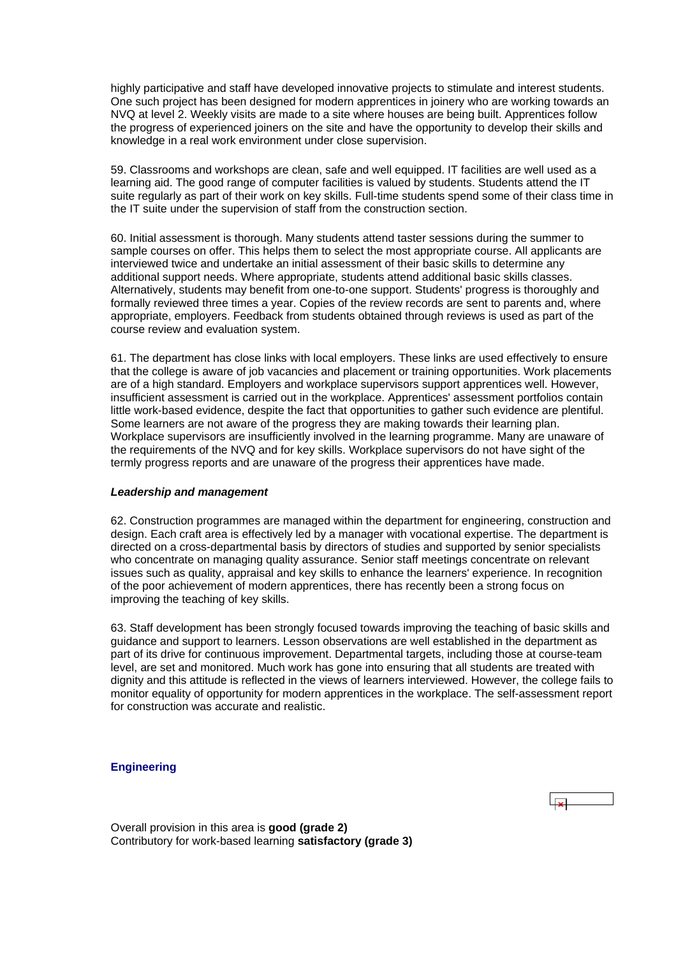<span id="page-20-0"></span>highly participative and staff have developed innovative projects to stimulate and interest students. One such project has been designed for modern apprentices in joinery who are working towards an NVQ at level 2. Weekly visits are made to a site where houses are being built. Apprentices follow the progress of experienced joiners on the site and have the opportunity to develop their skills and knowledge in a real work environment under close supervision.

59. Classrooms and workshops are clean, safe and well equipped. IT facilities are well used as a learning aid. The good range of computer facilities is valued by students. Students attend the IT suite regularly as part of their work on key skills. Full-time students spend some of their class time in the IT suite under the supervision of staff from the construction section.

60. Initial assessment is thorough. Many students attend taster sessions during the summer to sample courses on offer. This helps them to select the most appropriate course. All applicants are interviewed twice and undertake an initial assessment of their basic skills to determine any additional support needs. Where appropriate, students attend additional basic skills classes. Alternatively, students may benefit from one-to-one support. Students' progress is thoroughly and formally reviewed three times a year. Copies of the review records are sent to parents and, where appropriate, employers. Feedback from students obtained through reviews is used as part of the course review and evaluation system.

61. The department has close links with local employers. These links are used effectively to ensure that the college is aware of job vacancies and placement or training opportunities. Work placements are of a high standard. Employers and workplace supervisors support apprentices well. However, insufficient assessment is carried out in the workplace. Apprentices' assessment portfolios contain little work-based evidence, despite the fact that opportunities to gather such evidence are plentiful. Some learners are not aware of the progress they are making towards their learning plan. Workplace supervisors are insufficiently involved in the learning programme. Many are unaware of the requirements of the NVQ and for key skills. Workplace supervisors do not have sight of the termly progress reports and are unaware of the progress their apprentices have made.

### *Leadership and management*

62. Construction programmes are managed within the department for engineering, construction and design. Each craft area is effectively led by a manager with vocational expertise. The department is directed on a cross-departmental basis by directors of studies and supported by senior specialists who concentrate on managing quality assurance. Senior staff meetings concentrate on relevant issues such as quality, appraisal and key skills to enhance the learners' experience. In recognition of the poor achievement of modern apprentices, there has recently been a strong focus on improving the teaching of key skills.

63. Staff development has been strongly focused towards improving the teaching of basic skills and guidance and support to learners. Lesson observations are well established in the department as part of its drive for continuous improvement. Departmental targets, including those at course-team level, are set and monitored. Much work has gone into ensuring that all students are treated with dignity and this attitude is reflected in the views of learners interviewed. However, the college fails to monitor equality of opportunity for modern apprentices in the workplace. The self-assessment report for construction was accurate and realistic.

### **Engineering**

Overall provision in this area is **good (grade 2)** Contributory for work-based learning **satisfactory (grade 3)**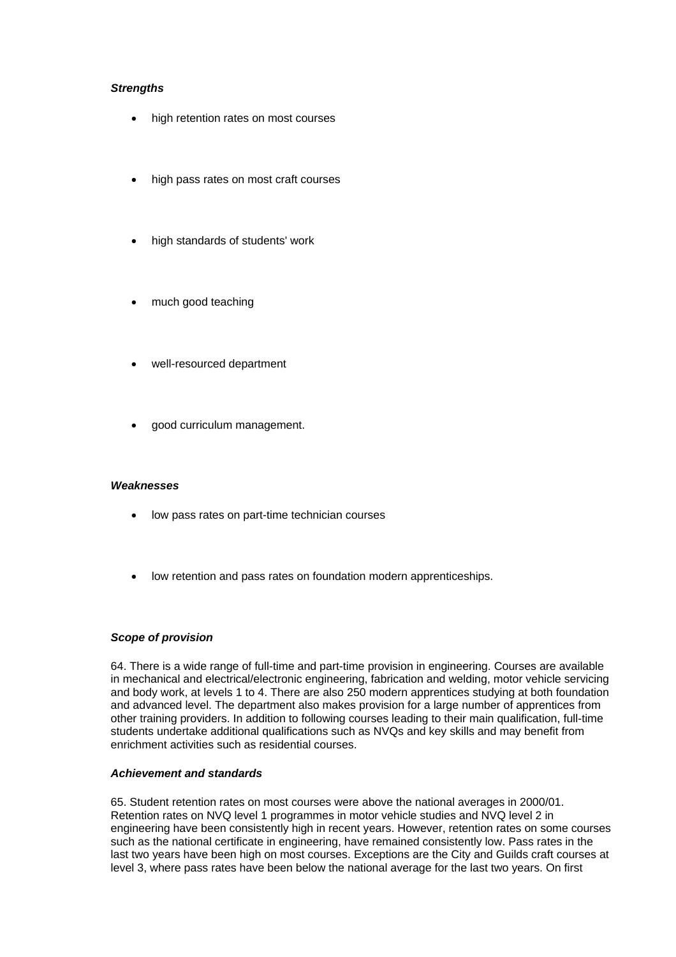## *Strengths*

- high retention rates on most courses
- high pass rates on most craft courses
- high standards of students' work
- much good teaching
- well-resourced department
- good curriculum management.

#### *Weaknesses*

- low pass rates on part-time technician courses
- low retention and pass rates on foundation modern apprenticeships.

#### *Scope of provision*

64. There is a wide range of full-time and part-time provision in engineering. Courses are available in mechanical and electrical/electronic engineering, fabrication and welding, motor vehicle servicing and body work, at levels 1 to 4. There are also 250 modern apprentices studying at both foundation and advanced level. The department also makes provision for a large number of apprentices from other training providers. In addition to following courses leading to their main qualification, full-time students undertake additional qualifications such as NVQs and key skills and may benefit from enrichment activities such as residential courses.

#### *Achievement and standards*

65. Student retention rates on most courses were above the national averages in 2000/01. Retention rates on NVQ level 1 programmes in motor vehicle studies and NVQ level 2 in engineering have been consistently high in recent years. However, retention rates on some courses such as the national certificate in engineering, have remained consistently low. Pass rates in the last two years have been high on most courses. Exceptions are the City and Guilds craft courses at level 3, where pass rates have been below the national average for the last two years. On first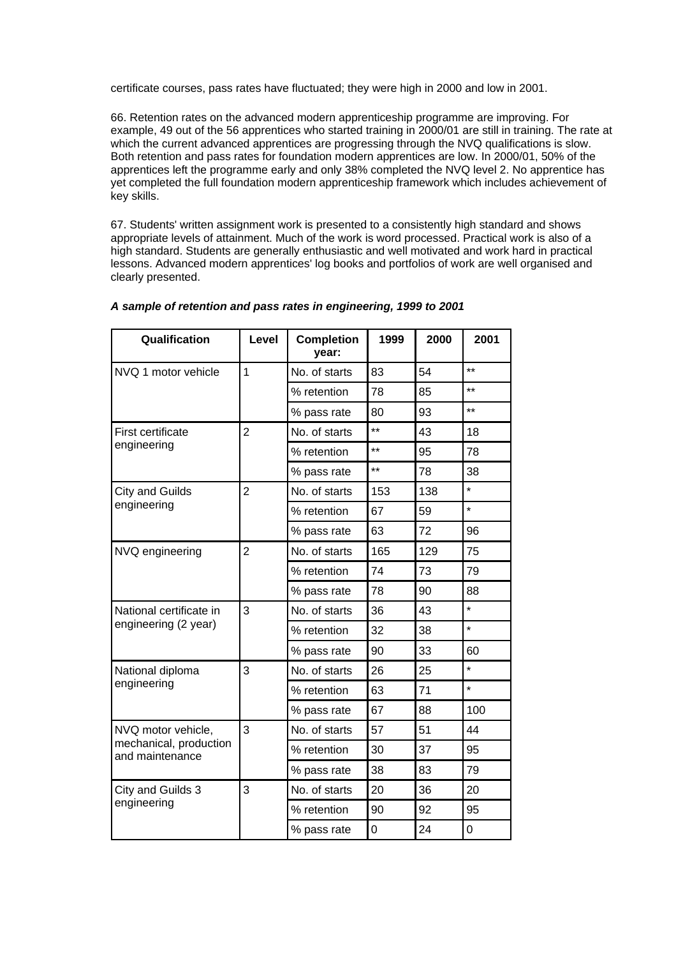certificate courses, pass rates have fluctuated; they were high in 2000 and low in 2001.

66. Retention rates on the advanced modern apprenticeship programme are improving. For example, 49 out of the 56 apprentices who started training in 2000/01 are still in training. The rate at which the current advanced apprentices are progressing through the NVQ qualifications is slow. Both retention and pass rates for foundation modern apprentices are low. In 2000/01, 50% of the apprentices left the programme early and only 38% completed the NVQ level 2. No apprentice has yet completed the full foundation modern apprenticeship framework which includes achievement of key skills.

67. Students' written assignment work is presented to a consistently high standard and shows appropriate levels of attainment. Much of the work is word processed. Practical work is also of a high standard. Students are generally enthusiastic and well motivated and work hard in practical lessons. Advanced modern apprentices' log books and portfolios of work are well organised and clearly presented.

| Qualification                             | Level          | <b>Completion</b><br>year: | 1999            | 2000 | 2001           |
|-------------------------------------------|----------------|----------------------------|-----------------|------|----------------|
| NVQ 1 motor vehicle                       | $\overline{1}$ | No. of starts              | 83              | 54   | $\star\star$   |
|                                           |                | % retention                | 78              | 85   | $***$          |
|                                           |                | % pass rate                | 80              | 93   | $***$          |
| First certificate                         | $\overline{2}$ | No. of starts              | $^{\star\star}$ | 43   | 18             |
| engineering                               |                | % retention                | $\star\star$    | 95   | 78             |
|                                           |                | % pass rate                | $\star\star$    | 78   | 38             |
| <b>City and Guilds</b>                    | $\overline{2}$ | No. of starts              | 153             | 138  | $\star$        |
| engineering                               |                | % retention                | 67              | 59   | $\star$        |
|                                           |                | % pass rate                | 63              | 72   | 96             |
| NVQ engineering                           | $\overline{2}$ | No. of starts              | 165             | 129  | 75             |
|                                           |                | % retention                | 74              | 73   | 79             |
|                                           |                | % pass rate                | 78              | 90   | 88             |
| National certificate in                   | 3              | No. of starts              | 36              | 43   | $\star$        |
| engineering (2 year)                      |                | % retention                | 32              | 38   | $\star$        |
|                                           |                | % pass rate                | 90              | 33   | 60             |
| National diploma                          | 3              | No. of starts              | 26              | 25   | $\star$        |
| engineering                               |                | % retention                | 63              | 71   | $\star$        |
|                                           |                | % pass rate                | 67              | 88   | 100            |
| NVQ motor vehicle,                        | 3              | No. of starts              | 57              | 51   | 44             |
| mechanical, production<br>and maintenance |                | % retention                | 30              | 37   | 95             |
|                                           |                | % pass rate                | 38              | 83   | 79             |
| City and Guilds 3                         | 3              | No. of starts              | 20              | 36   | 20             |
| engineering                               |                | % retention                | 90              | 92   | 95             |
|                                           |                | % pass rate                | 0               | 24   | $\overline{0}$ |

### *A sample of retention and pass rates in engineering, 1999 to 2001*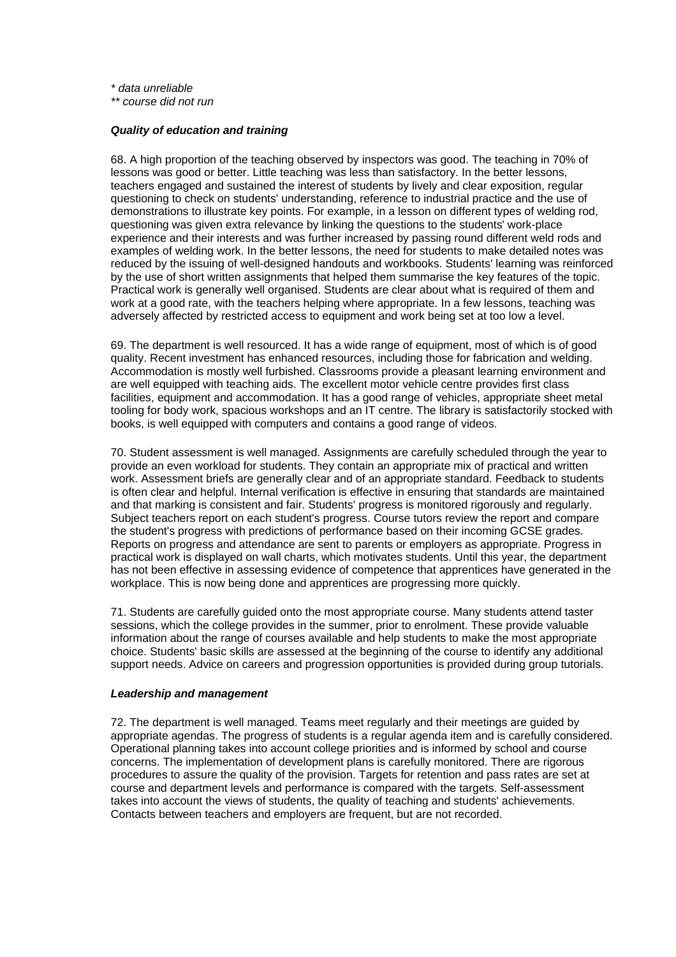<span id="page-23-0"></span>*\* data unreliable* 

*\*\* course did not run*

### *Quality of education and training*

68. A high proportion of the teaching observed by inspectors was good. The teaching in 70% of lessons was good or better. Little teaching was less than satisfactory. In the better lessons, teachers engaged and sustained the interest of students by lively and clear exposition, regular questioning to check on students' understanding, reference to industrial practice and the use of demonstrations to illustrate key points. For example, in a lesson on different types of welding rod, questioning was given extra relevance by linking the questions to the students' work-place experience and their interests and was further increased by passing round different weld rods and examples of welding work. In the better lessons, the need for students to make detailed notes was reduced by the issuing of well-designed handouts and workbooks. Students' learning was reinforced by the use of short written assignments that helped them summarise the key features of the topic. Practical work is generally well organised. Students are clear about what is required of them and work at a good rate, with the teachers helping where appropriate. In a few lessons, teaching was adversely affected by restricted access to equipment and work being set at too low a level.

69. The department is well resourced. It has a wide range of equipment, most of which is of good quality. Recent investment has enhanced resources, including those for fabrication and welding. Accommodation is mostly well furbished. Classrooms provide a pleasant learning environment and are well equipped with teaching aids. The excellent motor vehicle centre provides first class facilities, equipment and accommodation. It has a good range of vehicles, appropriate sheet metal tooling for body work, spacious workshops and an IT centre. The library is satisfactorily stocked with books, is well equipped with computers and contains a good range of videos.

70. Student assessment is well managed. Assignments are carefully scheduled through the year to provide an even workload for students. They contain an appropriate mix of practical and written work. Assessment briefs are generally clear and of an appropriate standard. Feedback to students is often clear and helpful. Internal verification is effective in ensuring that standards are maintained and that marking is consistent and fair. Students' progress is monitored rigorously and regularly. Subject teachers report on each student's progress. Course tutors review the report and compare the student's progress with predictions of performance based on their incoming GCSE grades. Reports on progress and attendance are sent to parents or employers as appropriate. Progress in practical work is displayed on wall charts, which motivates students. Until this year, the department has not been effective in assessing evidence of competence that apprentices have generated in the workplace. This is now being done and apprentices are progressing more quickly.

71. Students are carefully guided onto the most appropriate course. Many students attend taster sessions, which the college provides in the summer, prior to enrolment. These provide valuable information about the range of courses available and help students to make the most appropriate choice. Students' basic skills are assessed at the beginning of the course to identify any additional support needs. Advice on careers and progression opportunities is provided during group tutorials.

#### *Leadership and management*

72. The department is well managed. Teams meet regularly and their meetings are guided by appropriate agendas. The progress of students is a regular agenda item and is carefully considered. Operational planning takes into account college priorities and is informed by school and course concerns. The implementation of development plans is carefully monitored. There are rigorous procedures to assure the quality of the provision. Targets for retention and pass rates are set at course and department levels and performance is compared with the targets. Self-assessment takes into account the views of students, the quality of teaching and students' achievements. Contacts between teachers and employers are frequent, but are not recorded.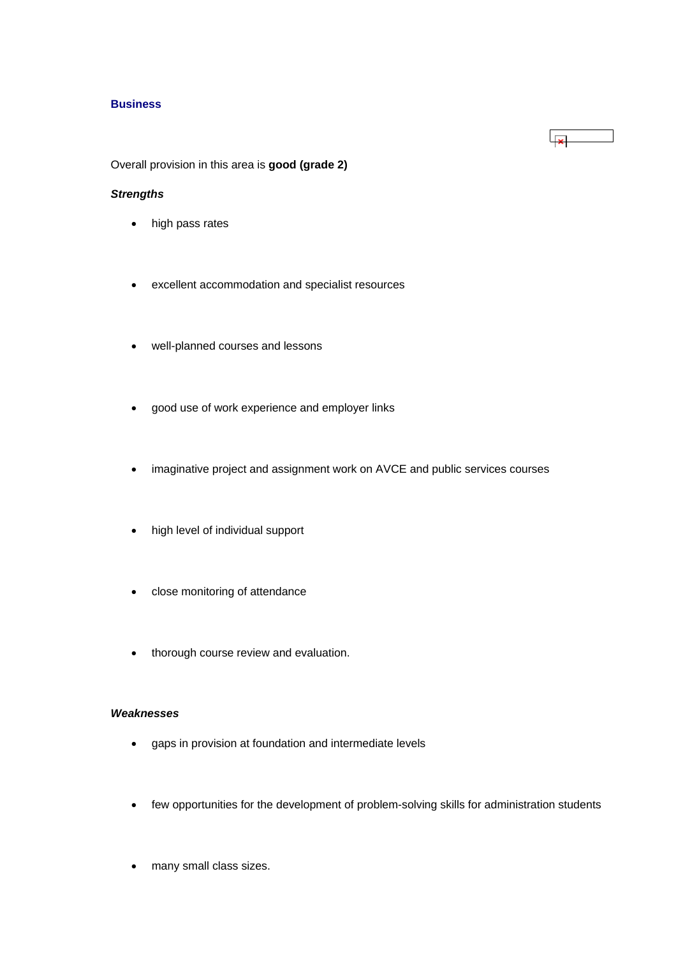#### **Business**

Overall provision in this area is **good (grade 2)**

# *Strengths*

- high pass rates
- excellent accommodation and specialist resources
- well-planned courses and lessons
- good use of work experience and employer links
- imaginative project and assignment work on AVCE and public services courses
- high level of individual support
- close monitoring of attendance
- thorough course review and evaluation.

### *Weaknesses*

- gaps in provision at foundation and intermediate levels
- few opportunities for the development of problem-solving skills for administration students
- many small class sizes.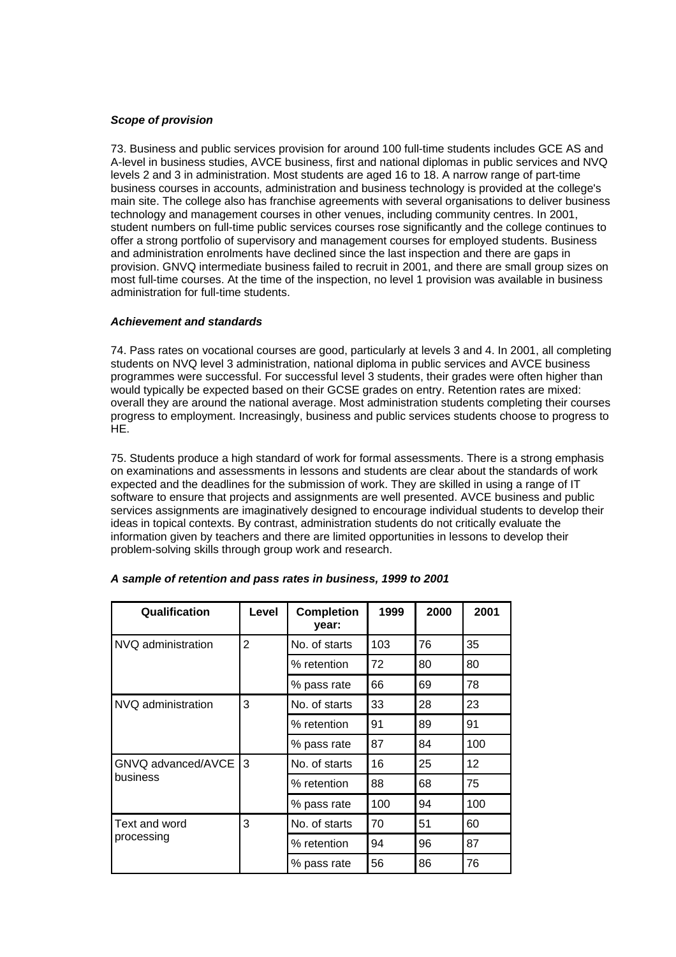## *Scope of provision*

73. Business and public services provision for around 100 full-time students includes GCE AS and A-level in business studies, AVCE business, first and national diplomas in public services and NVQ levels 2 and 3 in administration. Most students are aged 16 to 18. A narrow range of part-time business courses in accounts, administration and business technology is provided at the college's main site. The college also has franchise agreements with several organisations to deliver business technology and management courses in other venues, including community centres. In 2001, student numbers on full-time public services courses rose significantly and the college continues to offer a strong portfolio of supervisory and management courses for employed students. Business and administration enrolments have declined since the last inspection and there are gaps in provision. GNVQ intermediate business failed to recruit in 2001, and there are small group sizes on most full-time courses. At the time of the inspection, no level 1 provision was available in business administration for full-time students.

#### *Achievement and standards*

74. Pass rates on vocational courses are good, particularly at levels 3 and 4. In 2001, all completing students on NVQ level 3 administration, national diploma in public services and AVCE business programmes were successful. For successful level 3 students, their grades were often higher than would typically be expected based on their GCSE grades on entry. Retention rates are mixed: overall they are around the national average. Most administration students completing their courses progress to employment. Increasingly, business and public services students choose to progress to HE.

75. Students produce a high standard of work for formal assessments. There is a strong emphasis on examinations and assessments in lessons and students are clear about the standards of work expected and the deadlines for the submission of work. They are skilled in using a range of IT software to ensure that projects and assignments are well presented. AVCE business and public services assignments are imaginatively designed to encourage individual students to develop their ideas in topical contexts. By contrast, administration students do not critically evaluate the information given by teachers and there are limited opportunities in lessons to develop their problem-solving skills through group work and research.

| Qualification                  | Level          | <b>Completion</b><br>year: | 1999 | 2000 | 2001            |
|--------------------------------|----------------|----------------------------|------|------|-----------------|
| NVQ administration             | $\overline{2}$ | No. of starts              | 103  | 76   | 35              |
|                                |                | % retention                | 72   | 80   | 80              |
|                                |                | % pass rate                | 66   | 69   | 78              |
| NVQ administration             | 3              | No. of starts              | 33   | 28   | 23              |
|                                |                | % retention                | 91   | 89   | 91              |
|                                |                | % pass rate                | 87   | 84   | 100             |
| GNVQ advanced/AVCE<br>business | 13             | No. of starts              | 16   | 25   | 12 <sup>2</sup> |
|                                |                | % retention                | 88   | 68   | 75              |
|                                |                | % pass rate                | 100  | 94   | 100             |
| Text and word                  | 3              | No. of starts              | 70   | 51   | 60              |
| processing                     |                | % retention                | 94   | 96   | 87              |
|                                |                | % pass rate                | 56   | 86   | 76              |

# *A sample of retention and pass rates in business, 1999 to 2001*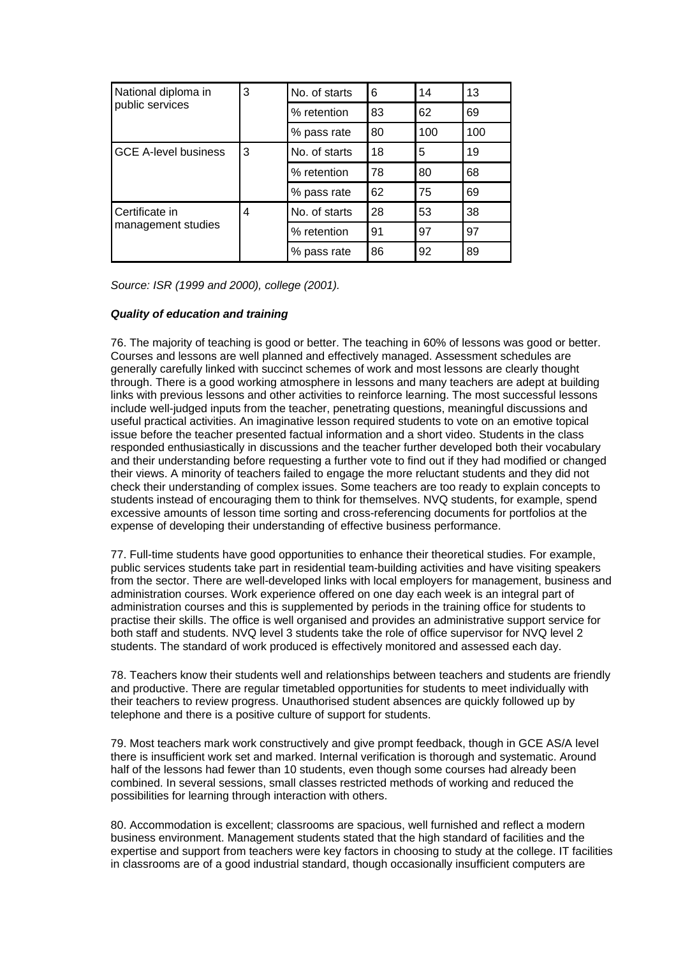| National diploma in         | 3 | No. of starts | 6  | 14  | 13  |
|-----------------------------|---|---------------|----|-----|-----|
| public services             |   | % retention   | 83 | 62  | 69  |
|                             |   | % pass rate   | 80 | 100 | 100 |
| <b>GCE A-level business</b> | 3 | No. of starts | 18 | 5   | 19  |
|                             |   | % retention   | 78 | 80  | 68  |
|                             |   | % pass rate   | 62 | 75  | 69  |
| Certificate in              | 4 | No. of starts | 28 | 53  | 38  |
| management studies          |   | % retention   | 91 | 97  | 97  |
|                             |   | % pass rate   | 86 | 92  | 89  |

*Source: ISR (1999 and 2000), college (2001).*

# *Quality of education and training*

76. The majority of teaching is good or better. The teaching in 60% of lessons was good or better. Courses and lessons are well planned and effectively managed. Assessment schedules are generally carefully linked with succinct schemes of work and most lessons are clearly thought through. There is a good working atmosphere in lessons and many teachers are adept at building links with previous lessons and other activities to reinforce learning. The most successful lessons include well-judged inputs from the teacher, penetrating questions, meaningful discussions and useful practical activities. An imaginative lesson required students to vote on an emotive topical issue before the teacher presented factual information and a short video. Students in the class responded enthusiastically in discussions and the teacher further developed both their vocabulary and their understanding before requesting a further vote to find out if they had modified or changed their views. A minority of teachers failed to engage the more reluctant students and they did not check their understanding of complex issues. Some teachers are too ready to explain concepts to students instead of encouraging them to think for themselves. NVQ students, for example, spend excessive amounts of lesson time sorting and cross-referencing documents for portfolios at the expense of developing their understanding of effective business performance.

77. Full-time students have good opportunities to enhance their theoretical studies. For example, public services students take part in residential team-building activities and have visiting speakers from the sector. There are well-developed links with local employers for management, business and administration courses. Work experience offered on one day each week is an integral part of administration courses and this is supplemented by periods in the training office for students to practise their skills. The office is well organised and provides an administrative support service for both staff and students. NVQ level 3 students take the role of office supervisor for NVQ level 2 students. The standard of work produced is effectively monitored and assessed each day.

78. Teachers know their students well and relationships between teachers and students are friendly and productive. There are regular timetabled opportunities for students to meet individually with their teachers to review progress. Unauthorised student absences are quickly followed up by telephone and there is a positive culture of support for students.

79. Most teachers mark work constructively and give prompt feedback, though in GCE AS/A level there is insufficient work set and marked. Internal verification is thorough and systematic. Around half of the lessons had fewer than 10 students, even though some courses had already been combined. In several sessions, small classes restricted methods of working and reduced the possibilities for learning through interaction with others.

80. Accommodation is excellent; classrooms are spacious, well furnished and reflect a modern business environment. Management students stated that the high standard of facilities and the expertise and support from teachers were key factors in choosing to study at the college. IT facilities in classrooms are of a good industrial standard, though occasionally insufficient computers are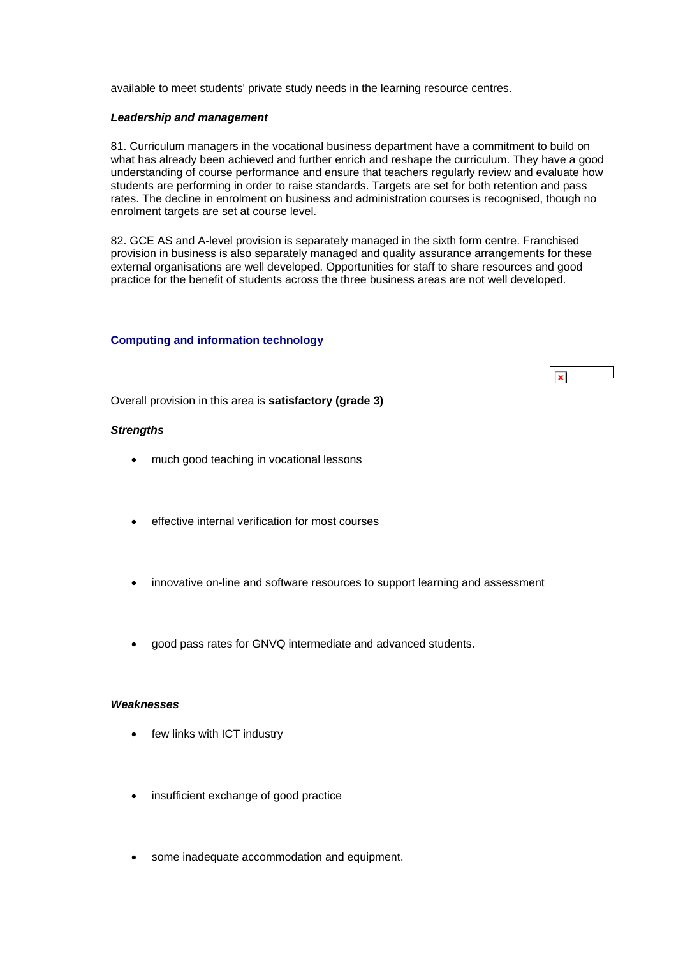<span id="page-27-0"></span>available to meet students' private study needs in the learning resource centres.

#### *Leadership and management*

81. Curriculum managers in the vocational business department have a commitment to build on what has already been achieved and further enrich and reshape the curriculum. They have a good understanding of course performance and ensure that teachers regularly review and evaluate how students are performing in order to raise standards. Targets are set for both retention and pass rates. The decline in enrolment on business and administration courses is recognised, though no enrolment targets are set at course level.

82. GCE AS and A-level provision is separately managed in the sixth form centre. Franchised provision in business is also separately managed and quality assurance arrangements for these external organisations are well developed. Opportunities for staff to share resources and good practice for the benefit of students across the three business areas are not well developed.

#### **Computing and information technology**



Overall provision in this area is **satisfactory (grade 3)**

#### *Strengths*

- much good teaching in vocational lessons
- effective internal verification for most courses
- innovative on-line and software resources to support learning and assessment
- good pass rates for GNVQ intermediate and advanced students.

#### *Weaknesses*

- few links with ICT industry
- insufficient exchange of good practice
- some inadequate accommodation and equipment.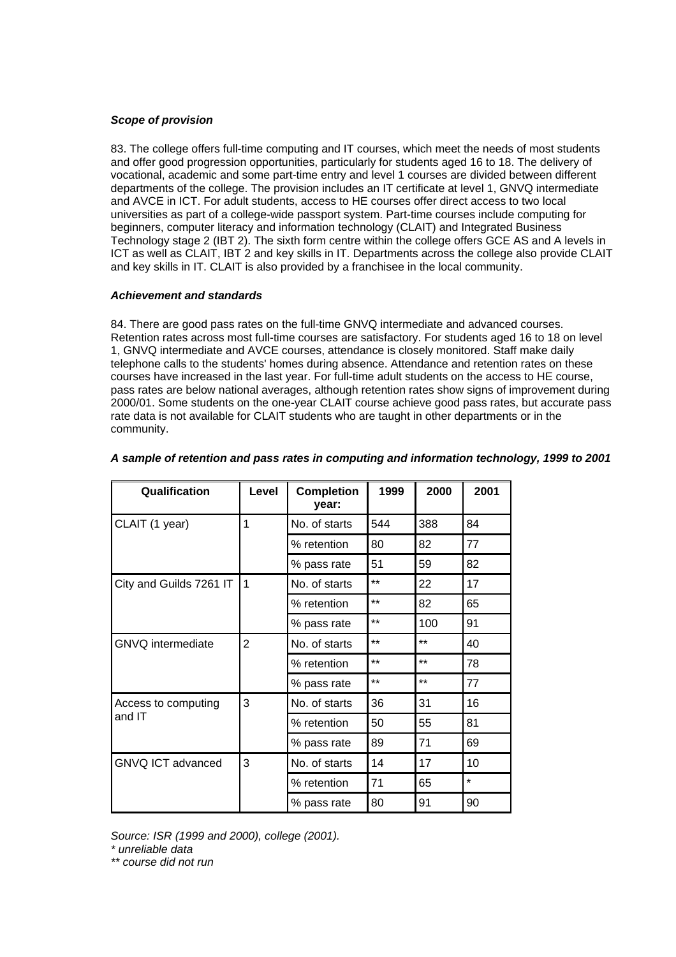## *Scope of provision*

83. The college offers full-time computing and IT courses, which meet the needs of most students and offer good progression opportunities, particularly for students aged 16 to 18. The delivery of vocational, academic and some part-time entry and level 1 courses are divided between different departments of the college. The provision includes an IT certificate at level 1, GNVQ intermediate and AVCE in ICT. For adult students, access to HE courses offer direct access to two local universities as part of a college-wide passport system. Part-time courses include computing for beginners, computer literacy and information technology (CLAIT) and Integrated Business Technology stage 2 (IBT 2). The sixth form centre within the college offers GCE AS and A levels in ICT as well as CLAIT, IBT 2 and key skills in IT. Departments across the college also provide CLAIT and key skills in IT. CLAIT is also provided by a franchisee in the local community.

### *Achievement and standards*

84. There are good pass rates on the full-time GNVQ intermediate and advanced courses. Retention rates across most full-time courses are satisfactory. For students aged 16 to 18 on level 1, GNVQ intermediate and AVCE courses, attendance is closely monitored. Staff make daily telephone calls to the students' homes during absence. Attendance and retention rates on these courses have increased in the last year. For full-time adult students on the access to HE course, pass rates are below national averages, although retention rates show signs of improvement during 2000/01. Some students on the one-year CLAIT course achieve good pass rates, but accurate pass rate data is not available for CLAIT students who are taught in other departments or in the community.

| Qualification            | Level | 1999<br><b>Completion</b><br>year: |                 | 2000  | 2001    |
|--------------------------|-------|------------------------------------|-----------------|-------|---------|
| CLAIT (1 year)           | 1     | No. of starts                      | 544             | 388   | 84      |
|                          |       | % retention                        | 80              | 82    | 77      |
|                          |       | % pass rate                        | 51              | 59    | 82      |
| City and Guilds 7261 IT  | 1     | No. of starts                      | $***$           | 22    | 17      |
|                          |       | % retention                        | $***$           | 82    | 65      |
|                          |       | % pass rate                        | $***$           | 100   | 91      |
| GNVQ intermediate        | 2     | No. of starts                      | $***$           | $***$ | 40      |
|                          |       | % retention                        | $***$           | $***$ | 78      |
|                          |       | % pass rate                        | $^{\star\star}$ | $***$ | 77      |
| Access to computing      | 3     | No. of starts                      | 36              | 31    | 16      |
| and IT                   |       | % retention                        | 50              | 55    | 81      |
|                          |       | % pass rate                        | 89              | 71    | 69      |
| <b>GNVQ ICT advanced</b> | 3     | No. of starts                      | 14              | 17    | 10      |
|                          |       | % retention                        | 71              | 65    | $\star$ |
|                          |       | % pass rate                        | 80              | 91    | 90      |

### *A sample of retention and pass rates in computing and information technology, 1999 to 2001*

*Source: ISR (1999 and 2000), college (2001).* 

*\* unreliable data* 

*\*\* course did not run*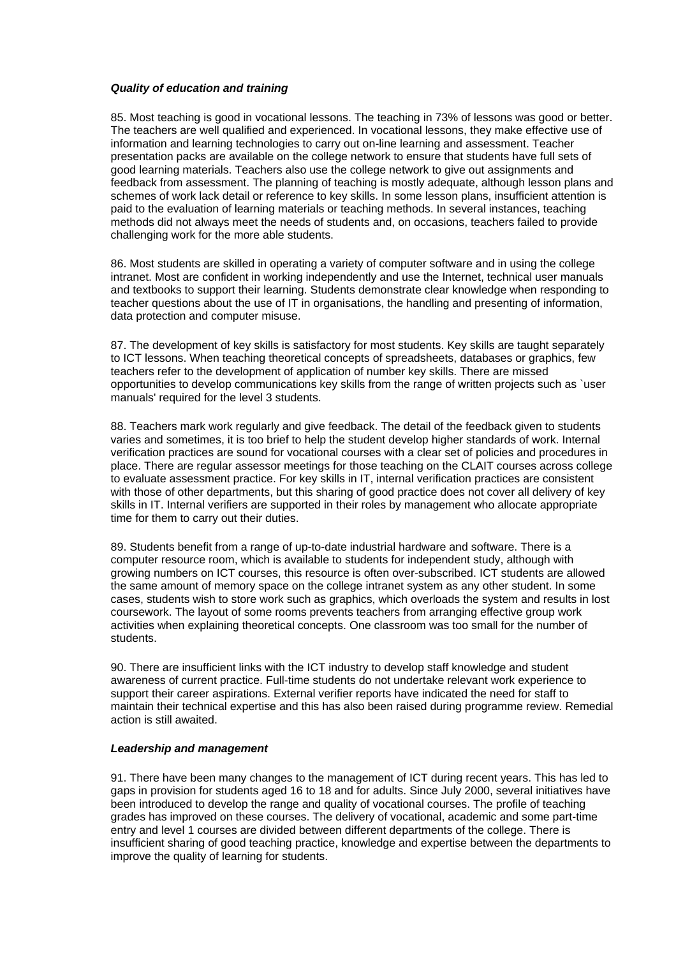### *Quality of education and training*

85. Most teaching is good in vocational lessons. The teaching in 73% of lessons was good or better. The teachers are well qualified and experienced. In vocational lessons, they make effective use of information and learning technologies to carry out on-line learning and assessment. Teacher presentation packs are available on the college network to ensure that students have full sets of good learning materials. Teachers also use the college network to give out assignments and feedback from assessment. The planning of teaching is mostly adequate, although lesson plans and schemes of work lack detail or reference to key skills. In some lesson plans, insufficient attention is paid to the evaluation of learning materials or teaching methods. In several instances, teaching methods did not always meet the needs of students and, on occasions, teachers failed to provide challenging work for the more able students.

86. Most students are skilled in operating a variety of computer software and in using the college intranet. Most are confident in working independently and use the Internet, technical user manuals and textbooks to support their learning. Students demonstrate clear knowledge when responding to teacher questions about the use of IT in organisations, the handling and presenting of information, data protection and computer misuse.

87. The development of key skills is satisfactory for most students. Key skills are taught separately to ICT lessons. When teaching theoretical concepts of spreadsheets, databases or graphics, few teachers refer to the development of application of number key skills. There are missed opportunities to develop communications key skills from the range of written projects such as `user manuals' required for the level 3 students.

88. Teachers mark work regularly and give feedback. The detail of the feedback given to students varies and sometimes, it is too brief to help the student develop higher standards of work. Internal verification practices are sound for vocational courses with a clear set of policies and procedures in place. There are regular assessor meetings for those teaching on the CLAIT courses across college to evaluate assessment practice. For key skills in IT, internal verification practices are consistent with those of other departments, but this sharing of good practice does not cover all delivery of key skills in IT. Internal verifiers are supported in their roles by management who allocate appropriate time for them to carry out their duties.

89. Students benefit from a range of up-to-date industrial hardware and software. There is a computer resource room, which is available to students for independent study, although with growing numbers on ICT courses, this resource is often over-subscribed. ICT students are allowed the same amount of memory space on the college intranet system as any other student. In some cases, students wish to store work such as graphics, which overloads the system and results in lost coursework. The layout of some rooms prevents teachers from arranging effective group work activities when explaining theoretical concepts. One classroom was too small for the number of students.

90. There are insufficient links with the ICT industry to develop staff knowledge and student awareness of current practice. Full-time students do not undertake relevant work experience to support their career aspirations. External verifier reports have indicated the need for staff to maintain their technical expertise and this has also been raised during programme review. Remedial action is still awaited.

### *Leadership and management*

91. There have been many changes to the management of ICT during recent years. This has led to gaps in provision for students aged 16 to 18 and for adults. Since July 2000, several initiatives have been introduced to develop the range and quality of vocational courses. The profile of teaching grades has improved on these courses. The delivery of vocational, academic and some part-time entry and level 1 courses are divided between different departments of the college. There is insufficient sharing of good teaching practice, knowledge and expertise between the departments to improve the quality of learning for students.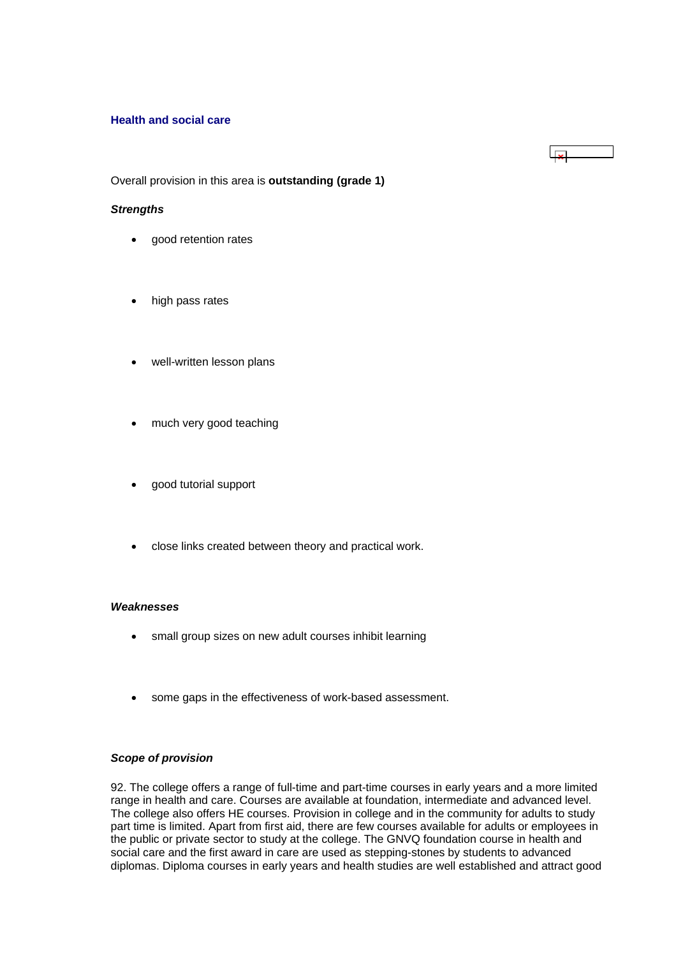### <span id="page-30-0"></span>**Health and social care**

Overall provision in this area is **outstanding (grade 1)**

 $\overline{1}$ 

#### *Strengths*

- good retention rates
- high pass rates
- well-written lesson plans
- much very good teaching
- good tutorial support
- close links created between theory and practical work.

#### *Weaknesses*

- small group sizes on new adult courses inhibit learning
- some gaps in the effectiveness of work-based assessment.

#### *Scope of provision*

92. The college offers a range of full-time and part-time courses in early years and a more limited range in health and care. Courses are available at foundation, intermediate and advanced level. The college also offers HE courses. Provision in college and in the community for adults to study part time is limited. Apart from first aid, there are few courses available for adults or employees in the public or private sector to study at the college. The GNVQ foundation course in health and social care and the first award in care are used as stepping-stones by students to advanced diplomas. Diploma courses in early years and health studies are well established and attract good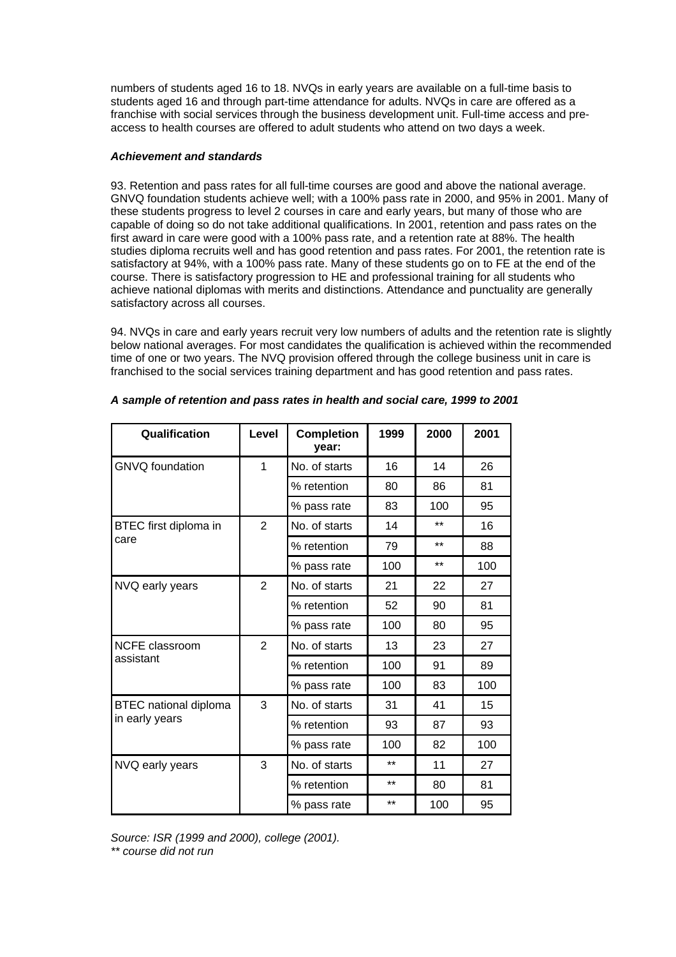numbers of students aged 16 to 18. NVQs in early years are available on a full-time basis to students aged 16 and through part-time attendance for adults. NVQs in care are offered as a franchise with social services through the business development unit. Full-time access and preaccess to health courses are offered to adult students who attend on two days a week.

### *Achievement and standards*

93. Retention and pass rates for all full-time courses are good and above the national average. GNVQ foundation students achieve well; with a 100% pass rate in 2000, and 95% in 2001. Many of these students progress to level 2 courses in care and early years, but many of those who are capable of doing so do not take additional qualifications. In 2001, retention and pass rates on the first award in care were good with a 100% pass rate, and a retention rate at 88%. The health studies diploma recruits well and has good retention and pass rates. For 2001, the retention rate is satisfactory at 94%, with a 100% pass rate. Many of these students go on to FE at the end of the course. There is satisfactory progression to HE and professional training for all students who achieve national diplomas with merits and distinctions. Attendance and punctuality are generally satisfactory across all courses.

94. NVQs in care and early years recruit very low numbers of adults and the retention rate is slightly below national averages. For most candidates the qualification is achieved within the recommended time of one or two years. The NVQ provision offered through the college business unit in care is franchised to the social services training department and has good retention and pass rates.

| Qualification                | Level          | <b>Completion</b><br>1999<br>year: |          | 2000  | 2001 |
|------------------------------|----------------|------------------------------------|----------|-------|------|
| <b>GNVQ</b> foundation       | 1              | No. of starts                      | 16<br>14 |       | 26   |
|                              |                | % retention                        | 80       | 86    | 81   |
|                              |                | % pass rate                        | 83       | 100   | 95   |
| BTEC first diploma in        | 2              | No. of starts                      | 14       | $***$ | 16   |
| care                         |                | % retention                        | 79       | $***$ | 88   |
|                              |                | % pass rate                        | 100      | $***$ | 100  |
| NVQ early years              | $\overline{2}$ | No. of starts                      | 21       | 22    | 27   |
|                              |                | % retention                        | 52       | 90    | 81   |
|                              |                | % pass rate                        | 100      | 80    | 95   |
| NCFE classroom               | $\overline{2}$ | No. of starts                      | 13       | 23    | 27   |
| assistant                    |                | % retention                        | 100      | 91    | 89   |
|                              |                | % pass rate                        | 100      | 83    | 100  |
| <b>BTEC</b> national diploma | 3              | No. of starts                      | 31       | 41    | 15   |
| in early years               |                | % retention                        | 93       | 87    | 93   |
|                              |                | % pass rate                        | 100      | 82    | 100  |
| NVQ early years              | 3              | No. of starts                      | $***$    | 11    | 27   |
|                              |                | % retention                        | $***$    | 80    | 81   |
|                              |                | % pass rate                        | $***$    | 100   | 95   |

|  | A sample of retention and pass rates in health and social care, 1999 to 2001 |  |
|--|------------------------------------------------------------------------------|--|
|--|------------------------------------------------------------------------------|--|

*Source: ISR (1999 and 2000), college (2001).* 

*\*\* course did not run*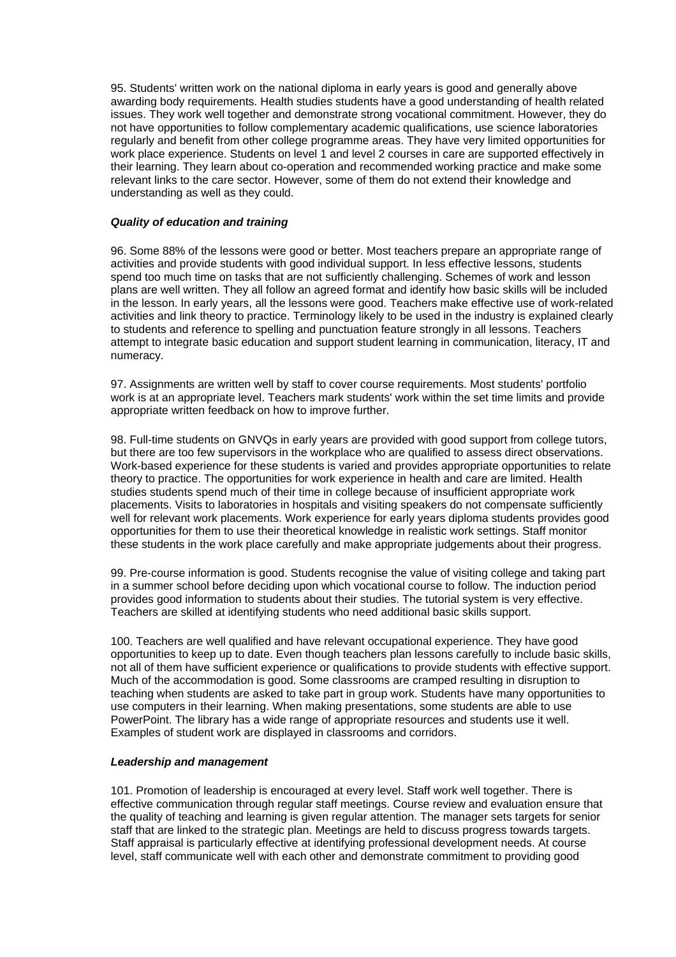95. Students' written work on the national diploma in early years is good and generally above awarding body requirements. Health studies students have a good understanding of health related issues. They work well together and demonstrate strong vocational commitment. However, they do not have opportunities to follow complementary academic qualifications, use science laboratories regularly and benefit from other college programme areas. They have very limited opportunities for work place experience. Students on level 1 and level 2 courses in care are supported effectively in their learning. They learn about co-operation and recommended working practice and make some relevant links to the care sector. However, some of them do not extend their knowledge and understanding as well as they could.

### *Quality of education and training*

96. Some 88% of the lessons were good or better. Most teachers prepare an appropriate range of activities and provide students with good individual support. In less effective lessons, students spend too much time on tasks that are not sufficiently challenging. Schemes of work and lesson plans are well written. They all follow an agreed format and identify how basic skills will be included in the lesson. In early years, all the lessons were good. Teachers make effective use of work-related activities and link theory to practice. Terminology likely to be used in the industry is explained clearly to students and reference to spelling and punctuation feature strongly in all lessons. Teachers attempt to integrate basic education and support student learning in communication, literacy, IT and numeracy.

97. Assignments are written well by staff to cover course requirements. Most students' portfolio work is at an appropriate level. Teachers mark students' work within the set time limits and provide appropriate written feedback on how to improve further.

98. Full-time students on GNVQs in early years are provided with good support from college tutors, but there are too few supervisors in the workplace who are qualified to assess direct observations. Work-based experience for these students is varied and provides appropriate opportunities to relate theory to practice. The opportunities for work experience in health and care are limited. Health studies students spend much of their time in college because of insufficient appropriate work placements. Visits to laboratories in hospitals and visiting speakers do not compensate sufficiently well for relevant work placements. Work experience for early years diploma students provides good opportunities for them to use their theoretical knowledge in realistic work settings. Staff monitor these students in the work place carefully and make appropriate judgements about their progress.

99. Pre-course information is good. Students recognise the value of visiting college and taking part in a summer school before deciding upon which vocational course to follow. The induction period provides good information to students about their studies. The tutorial system is very effective. Teachers are skilled at identifying students who need additional basic skills support.

100. Teachers are well qualified and have relevant occupational experience. They have good opportunities to keep up to date. Even though teachers plan lessons carefully to include basic skills, not all of them have sufficient experience or qualifications to provide students with effective support. Much of the accommodation is good. Some classrooms are cramped resulting in disruption to teaching when students are asked to take part in group work. Students have many opportunities to use computers in their learning. When making presentations, some students are able to use PowerPoint. The library has a wide range of appropriate resources and students use it well. Examples of student work are displayed in classrooms and corridors.

#### *Leadership and management*

101. Promotion of leadership is encouraged at every level. Staff work well together. There is effective communication through regular staff meetings. Course review and evaluation ensure that the quality of teaching and learning is given regular attention. The manager sets targets for senior staff that are linked to the strategic plan. Meetings are held to discuss progress towards targets. Staff appraisal is particularly effective at identifying professional development needs. At course level, staff communicate well with each other and demonstrate commitment to providing good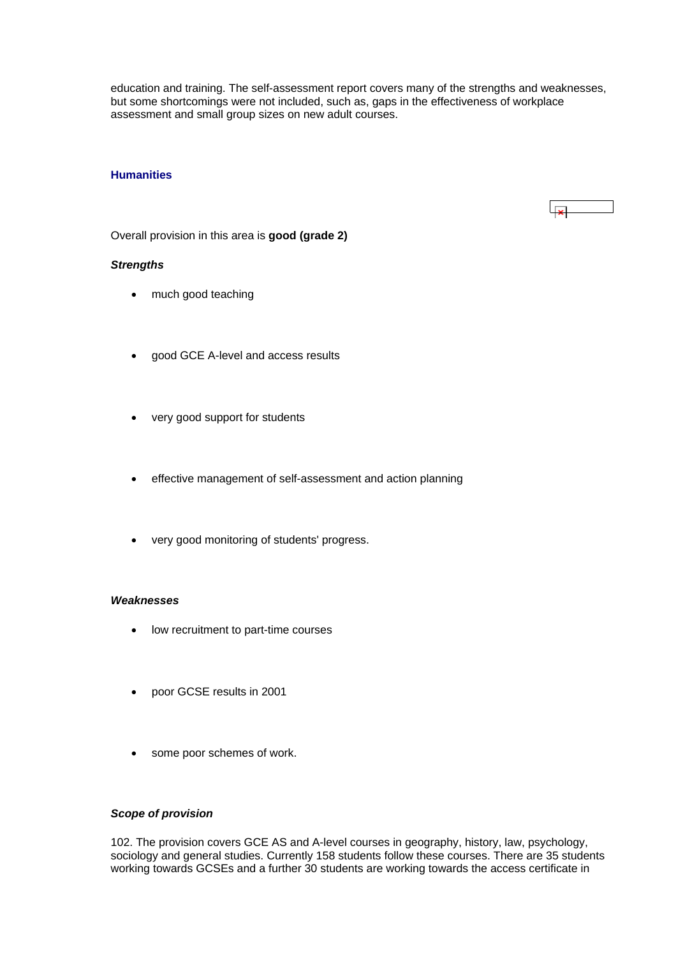<span id="page-33-0"></span>education and training. The self-assessment report covers many of the strengths and weaknesses, but some shortcomings were not included, such as, gaps in the effectiveness of workplace assessment and small group sizes on new adult courses.

### **Humanities**

# $\overline{1}$

Overall provision in this area is **good (grade 2)**

#### *Strengths*

- much good teaching
- good GCE A-level and access results
- very good support for students
- effective management of self-assessment and action planning
- very good monitoring of students' progress.

#### *Weaknesses*

- low recruitment to part-time courses
- poor GCSE results in 2001
- some poor schemes of work.

# *Scope of provision*

102. The provision covers GCE AS and A-level courses in geography, history, law, psychology, sociology and general studies. Currently 158 students follow these courses. There are 35 students working towards GCSEs and a further 30 students are working towards the access certificate in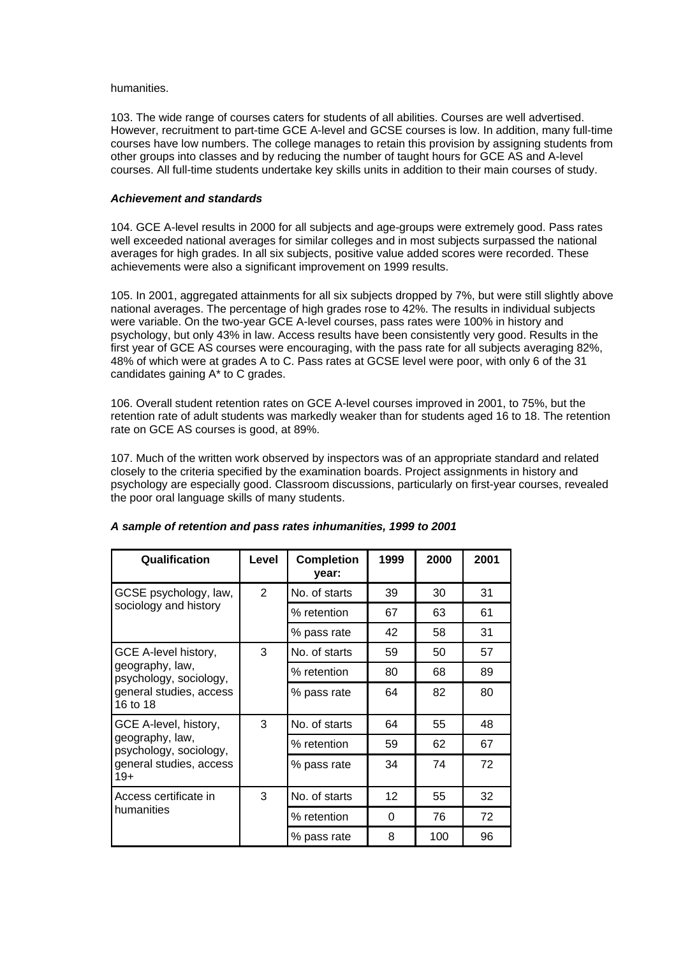#### humanities.

103. The wide range of courses caters for students of all abilities. Courses are well advertised. However, recruitment to part-time GCE A-level and GCSE courses is low. In addition, many full-time courses have low numbers. The college manages to retain this provision by assigning students from other groups into classes and by reducing the number of taught hours for GCE AS and A-level courses. All full-time students undertake key skills units in addition to their main courses of study.

#### *Achievement and standards*

104. GCE A-level results in 2000 for all subjects and age-groups were extremely good. Pass rates well exceeded national averages for similar colleges and in most subjects surpassed the national averages for high grades. In all six subjects, positive value added scores were recorded. These achievements were also a significant improvement on 1999 results.

105. In 2001, aggregated attainments for all six subjects dropped by 7%, but were still slightly above national averages. The percentage of high grades rose to 42%. The results in individual subjects were variable. On the two-year GCE A-level courses, pass rates were 100% in history and psychology, but only 43% in law. Access results have been consistently very good. Results in the first year of GCE AS courses were encouraging, with the pass rate for all subjects averaging 82%, 48% of which were at grades A to C. Pass rates at GCSE level were poor, with only 6 of the 31 candidates gaining A\* to C grades.

106. Overall student retention rates on GCE A-level courses improved in 2001, to 75%, but the retention rate of adult students was markedly weaker than for students aged 16 to 18. The retention rate on GCE AS courses is good, at 89%.

107. Much of the written work observed by inspectors was of an appropriate standard and related closely to the criteria specified by the examination boards. Project assignments in history and psychology are especially good. Classroom discussions, particularly on first-year courses, revealed the poor oral language skills of many students.

| Qualification                             | Level                                         | <b>Completion</b><br>year: | 1999 | 2000 | 2001 |
|-------------------------------------------|-----------------------------------------------|----------------------------|------|------|------|
| GCSE psychology, law,                     | $\overline{2}$                                | No. of starts              | 39   | 30   | 31   |
| sociology and history                     |                                               | % retention                | 67   | 63   | 61   |
|                                           |                                               | % pass rate                | 42   | 58   | 31   |
| GCE A-level history,                      | 3                                             | No. of starts              | 59   | 50   | 57   |
| geography, law,<br>psychology, sociology, |                                               | % retention                | 80   | 68   | 89   |
| general studies, access<br>16 to 18       |                                               | % pass rate                | 64   | 82   | 80   |
| GCE A-level, history,                     | 3<br>No. of starts<br>64<br>% retention<br>59 |                            |      | 55   | 48   |
| geography, law,<br>psychology, sociology, |                                               |                            |      | 62   | 67   |
| general studies, access<br>$19+$          |                                               | % pass rate                | 34   | 74   | 72   |
| Access certificate in                     | 3                                             | No. of starts              | 12   | 55   | 32   |
| humanities                                |                                               | 0<br>% retention           | 76   | 72   |      |
|                                           |                                               | % pass rate                | 8    | 100  | 96   |

#### *A sample of retention and pass rates inhumanities, 1999 to 2001*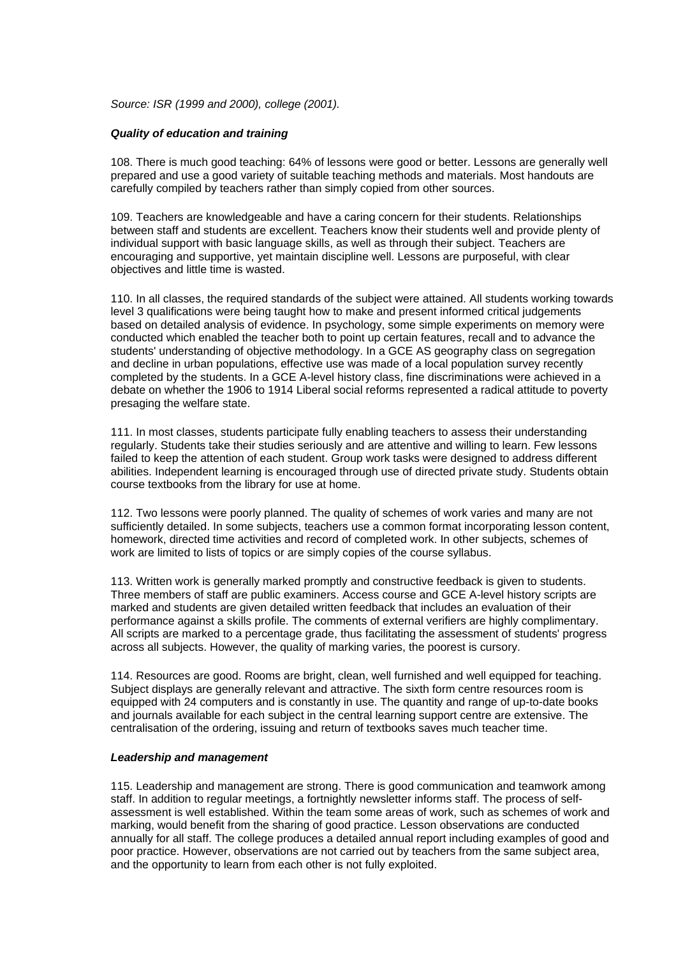*Source: ISR (1999 and 2000), college (2001).*

#### *Quality of education and training*

108. There is much good teaching: 64% of lessons were good or better. Lessons are generally well prepared and use a good variety of suitable teaching methods and materials. Most handouts are carefully compiled by teachers rather than simply copied from other sources.

109. Teachers are knowledgeable and have a caring concern for their students. Relationships between staff and students are excellent. Teachers know their students well and provide plenty of individual support with basic language skills, as well as through their subject. Teachers are encouraging and supportive, yet maintain discipline well. Lessons are purposeful, with clear objectives and little time is wasted.

110. In all classes, the required standards of the subject were attained. All students working towards level 3 qualifications were being taught how to make and present informed critical judgements based on detailed analysis of evidence. In psychology, some simple experiments on memory were conducted which enabled the teacher both to point up certain features, recall and to advance the students' understanding of objective methodology. In a GCE AS geography class on segregation and decline in urban populations, effective use was made of a local population survey recently completed by the students. In a GCE A-level history class, fine discriminations were achieved in a debate on whether the 1906 to 1914 Liberal social reforms represented a radical attitude to poverty presaging the welfare state.

111. In most classes, students participate fully enabling teachers to assess their understanding regularly. Students take their studies seriously and are attentive and willing to learn. Few lessons failed to keep the attention of each student. Group work tasks were designed to address different abilities. Independent learning is encouraged through use of directed private study. Students obtain course textbooks from the library for use at home.

112. Two lessons were poorly planned. The quality of schemes of work varies and many are not sufficiently detailed. In some subjects, teachers use a common format incorporating lesson content, homework, directed time activities and record of completed work. In other subjects, schemes of work are limited to lists of topics or are simply copies of the course syllabus.

113. Written work is generally marked promptly and constructive feedback is given to students. Three members of staff are public examiners. Access course and GCE A-level history scripts are marked and students are given detailed written feedback that includes an evaluation of their performance against a skills profile. The comments of external verifiers are highly complimentary. All scripts are marked to a percentage grade, thus facilitating the assessment of students' progress across all subjects. However, the quality of marking varies, the poorest is cursory.

114. Resources are good. Rooms are bright, clean, well furnished and well equipped for teaching. Subject displays are generally relevant and attractive. The sixth form centre resources room is equipped with 24 computers and is constantly in use. The quantity and range of up-to-date books and journals available for each subject in the central learning support centre are extensive. The centralisation of the ordering, issuing and return of textbooks saves much teacher time.

### *Leadership and management*

115. Leadership and management are strong. There is good communication and teamwork among staff. In addition to regular meetings, a fortnightly newsletter informs staff. The process of selfassessment is well established. Within the team some areas of work, such as schemes of work and marking, would benefit from the sharing of good practice. Lesson observations are conducted annually for all staff. The college produces a detailed annual report including examples of good and poor practice. However, observations are not carried out by teachers from the same subject area, and the opportunity to learn from each other is not fully exploited.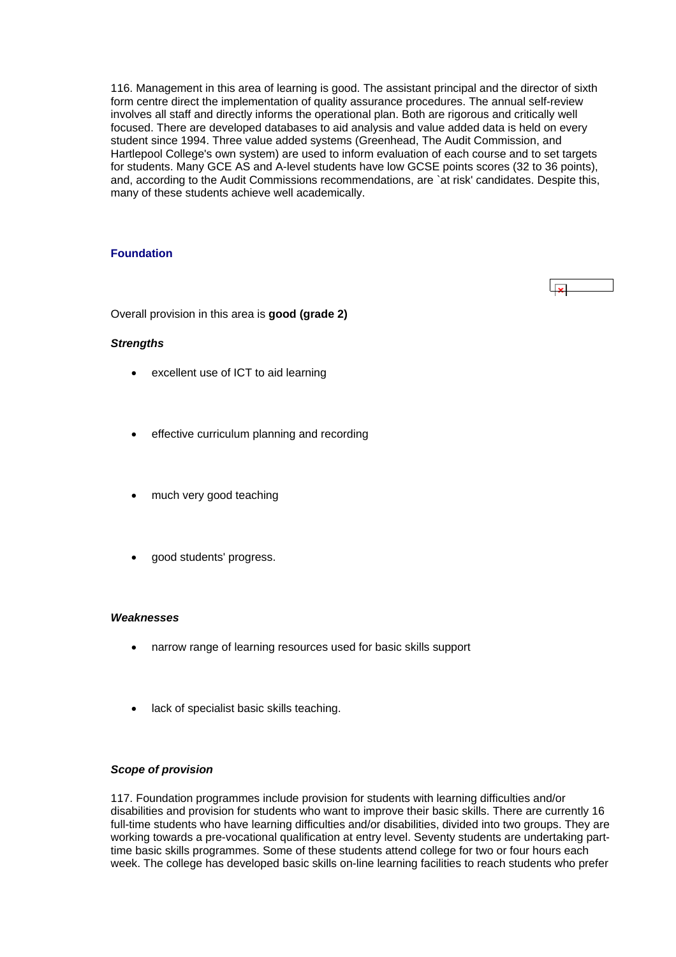<span id="page-36-0"></span>116. Management in this area of learning is good. The assistant principal and the director of sixth form centre direct the implementation of quality assurance procedures. The annual self-review involves all staff and directly informs the operational plan. Both are rigorous and critically well focused. There are developed databases to aid analysis and value added data is held on every student since 1994. Three value added systems (Greenhead, The Audit Commission, and Hartlepool College's own system) are used to inform evaluation of each course and to set targets for students. Many GCE AS and A-level students have low GCSE points scores (32 to 36 points), and, according to the Audit Commissions recommendations, are `at risk' candidates. Despite this, many of these students achieve well academically.

# **Foundation**

Overall provision in this area is **good (grade 2)**

### *Strengths*

- excellent use of ICT to aid learning
- effective curriculum planning and recording
- much very good teaching
- good students' progress.

#### *Weaknesses*

- narrow range of learning resources used for basic skills support
- lack of specialist basic skills teaching.

#### *Scope of provision*

117. Foundation programmes include provision for students with learning difficulties and/or disabilities and provision for students who want to improve their basic skills. There are currently 16 full-time students who have learning difficulties and/or disabilities, divided into two groups. They are working towards a pre-vocational qualification at entry level. Seventy students are undertaking parttime basic skills programmes. Some of these students attend college for two or four hours each week. The college has developed basic skills on-line learning facilities to reach students who prefer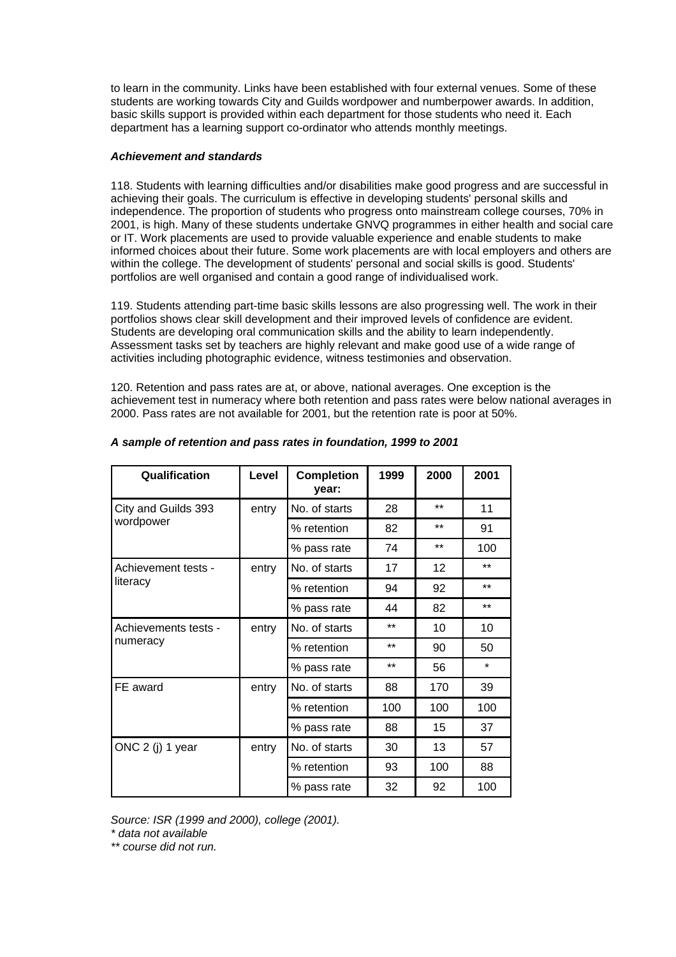to learn in the community. Links have been established with four external venues. Some of these students are working towards City and Guilds wordpower and numberpower awards. In addition, basic skills support is provided within each department for those students who need it. Each department has a learning support co-ordinator who attends monthly meetings.

### *Achievement and standards*

118. Students with learning difficulties and/or disabilities make good progress and are successful in achieving their goals. The curriculum is effective in developing students' personal skills and independence. The proportion of students who progress onto mainstream college courses, 70% in 2001, is high. Many of these students undertake GNVQ programmes in either health and social care or IT. Work placements are used to provide valuable experience and enable students to make informed choices about their future. Some work placements are with local employers and others are within the college. The development of students' personal and social skills is good. Students' portfolios are well organised and contain a good range of individualised work.

119. Students attending part-time basic skills lessons are also progressing well. The work in their portfolios shows clear skill development and their improved levels of confidence are evident. Students are developing oral communication skills and the ability to learn independently. Assessment tasks set by teachers are highly relevant and make good use of a wide range of activities including photographic evidence, witness testimonies and observation.

120. Retention and pass rates are at, or above, national averages. One exception is the achievement test in numeracy where both retention and pass rates were below national averages in 2000. Pass rates are not available for 2001, but the retention rate is poor at 50%.

| Qualification        | Level | <b>Completion</b><br>year: | 1999  | 2000  | 2001    |
|----------------------|-------|----------------------------|-------|-------|---------|
| City and Guilds 393  | entry | No. of starts              | 28    | $***$ | 11      |
| wordpower            |       | % retention                | 82    | $***$ | 91      |
|                      |       | % pass rate                | 74    | $***$ | 100     |
| Achievement tests -  | entry | No. of starts              | 17    | 12    | $***$   |
| literacy             |       | % retention                | 94    | 92    | $***$   |
|                      |       | % pass rate                | 44    | 82    | $***$   |
| Achievements tests - | entry | No. of starts              | $**$  | 10    | 10      |
| numeracy             |       | % retention                | $***$ | 90    | 50      |
|                      |       | % pass rate                | $**$  | 56    | $\star$ |
| FE award             | entry | No. of starts              | 88    | 170   | 39      |
|                      |       | % retention                | 100   | 100   | 100     |
|                      |       | % pass rate                | 88    | 15    | 37      |
| ONC 2 (j) 1 year     | entry | No. of starts              | 30    | 13    | 57      |
|                      |       | % retention                | 93    | 100   | 88      |
|                      |       | % pass rate                | 32    | 92    | 100     |

# *A sample of retention and pass rates in foundation, 1999 to 2001*

*Source: ISR (1999 and 2000), college (2001).* 

*\* data not available* 

*\*\* course did not run.*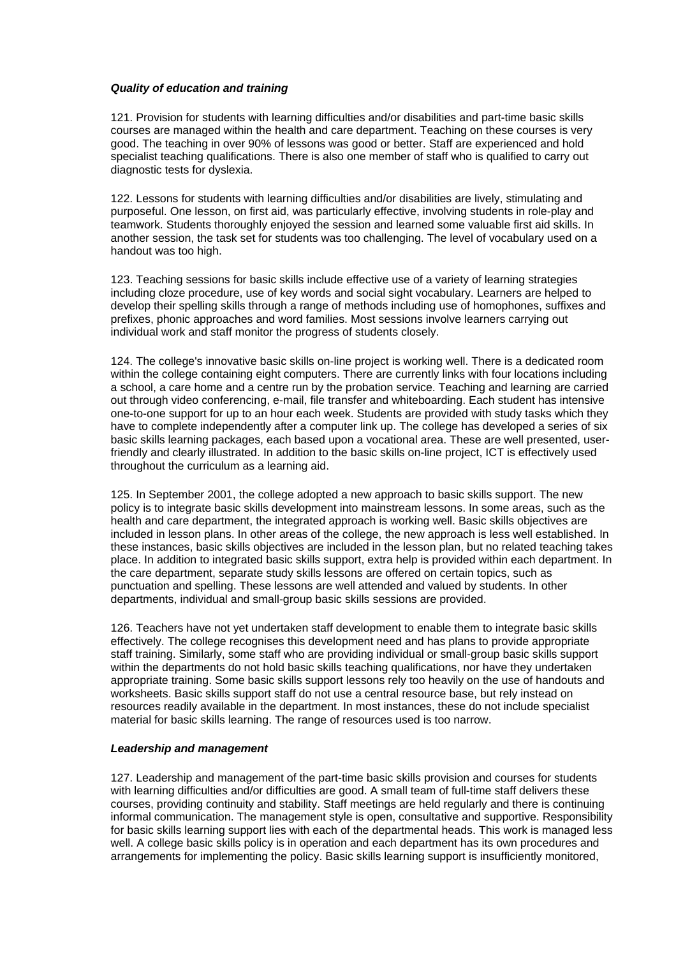#### *Quality of education and training*

121. Provision for students with learning difficulties and/or disabilities and part-time basic skills courses are managed within the health and care department. Teaching on these courses is very good. The teaching in over 90% of lessons was good or better. Staff are experienced and hold specialist teaching qualifications. There is also one member of staff who is qualified to carry out diagnostic tests for dyslexia.

122. Lessons for students with learning difficulties and/or disabilities are lively, stimulating and purposeful. One lesson, on first aid, was particularly effective, involving students in role-play and teamwork. Students thoroughly enjoyed the session and learned some valuable first aid skills. In another session, the task set for students was too challenging. The level of vocabulary used on a handout was too high.

123. Teaching sessions for basic skills include effective use of a variety of learning strategies including cloze procedure, use of key words and social sight vocabulary. Learners are helped to develop their spelling skills through a range of methods including use of homophones, suffixes and prefixes, phonic approaches and word families. Most sessions involve learners carrying out individual work and staff monitor the progress of students closely.

124. The college's innovative basic skills on-line project is working well. There is a dedicated room within the college containing eight computers. There are currently links with four locations including a school, a care home and a centre run by the probation service. Teaching and learning are carried out through video conferencing, e-mail, file transfer and whiteboarding. Each student has intensive one-to-one support for up to an hour each week. Students are provided with study tasks which they have to complete independently after a computer link up. The college has developed a series of six basic skills learning packages, each based upon a vocational area. These are well presented, userfriendly and clearly illustrated. In addition to the basic skills on-line project, ICT is effectively used throughout the curriculum as a learning aid.

125. In September 2001, the college adopted a new approach to basic skills support. The new policy is to integrate basic skills development into mainstream lessons. In some areas, such as the health and care department, the integrated approach is working well. Basic skills objectives are included in lesson plans. In other areas of the college, the new approach is less well established. In these instances, basic skills objectives are included in the lesson plan, but no related teaching takes place. In addition to integrated basic skills support, extra help is provided within each department. In the care department, separate study skills lessons are offered on certain topics, such as punctuation and spelling. These lessons are well attended and valued by students. In other departments, individual and small-group basic skills sessions are provided.

126. Teachers have not yet undertaken staff development to enable them to integrate basic skills effectively. The college recognises this development need and has plans to provide appropriate staff training. Similarly, some staff who are providing individual or small-group basic skills support within the departments do not hold basic skills teaching qualifications, nor have they undertaken appropriate training. Some basic skills support lessons rely too heavily on the use of handouts and worksheets. Basic skills support staff do not use a central resource base, but rely instead on resources readily available in the department. In most instances, these do not include specialist material for basic skills learning. The range of resources used is too narrow.

#### *Leadership and management*

127. Leadership and management of the part-time basic skills provision and courses for students with learning difficulties and/or difficulties are good. A small team of full-time staff delivers these courses, providing continuity and stability. Staff meetings are held regularly and there is continuing informal communication. The management style is open, consultative and supportive. Responsibility for basic skills learning support lies with each of the departmental heads. This work is managed less well. A college basic skills policy is in operation and each department has its own procedures and arrangements for implementing the policy. Basic skills learning support is insufficiently monitored,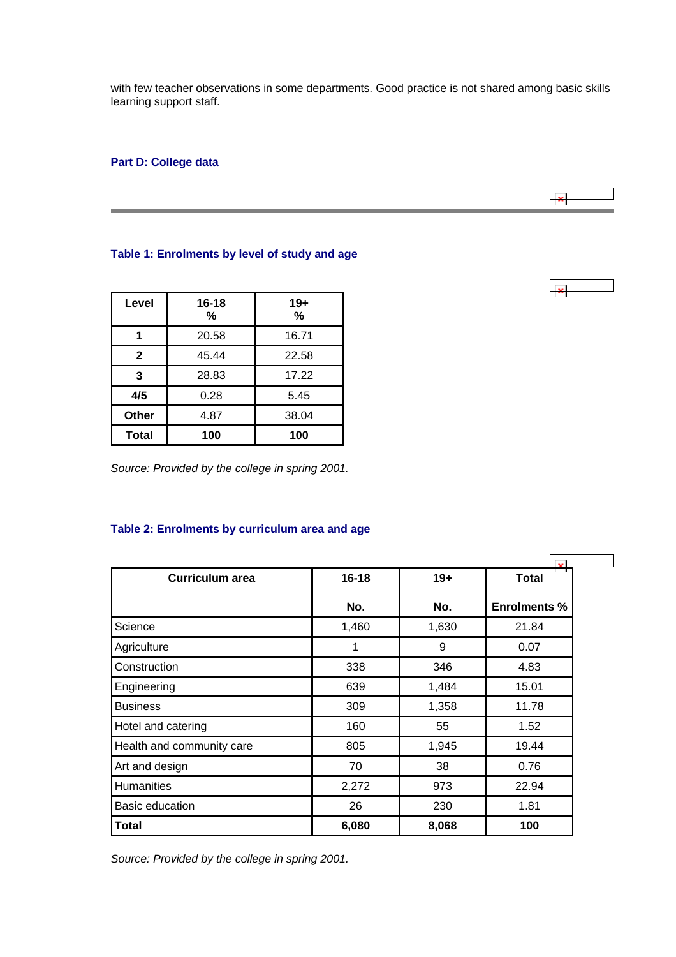<span id="page-39-0"></span>with few teacher observations in some departments. Good practice is not shared among basic skills learning support staff.

# **Part D: College data**

## **Table 1: Enrolments by level of study and age**

| Level        | 16-18<br>℅ | $19+$<br>% |
|--------------|------------|------------|
|              | 20.58      | 16.71      |
| $\mathbf{2}$ | 45.44      | 22.58      |
| 3            | 28.83      | 17.22      |
| 4/5          | 0.28       | 5.45       |
| Other        | 4.87       | 38.04      |
| <b>Total</b> | 100        | 100        |

*Source: Provided by the college in spring 2001.*

# **Table 2: Enrolments by curriculum area and age**

| <b>Curriculum area</b>    | $16 - 18$ | $19+$ | <b>Total</b>        |
|---------------------------|-----------|-------|---------------------|
|                           | No.       | No.   | <b>Enrolments %</b> |
| Science                   | 1,460     | 1,630 | 21.84               |
| Agriculture               | 1         | 9     | 0.07                |
| Construction              | 338       | 346   | 4.83                |
| Engineering               | 639       | 1,484 | 15.01               |
| <b>Business</b>           | 309       | 1,358 | 11.78               |
| Hotel and catering        | 160       | 55    | 1.52                |
| Health and community care | 805       | 1,945 | 19.44               |
| Art and design            | 70        | 38    | 0.76                |
| <b>Humanities</b>         | 2,272     | 973   | 22.94               |
| Basic education           | 26        | 230   | 1.81                |
| <b>Total</b>              | 6,080     | 8,068 | 100                 |

*Source: Provided by the college in spring 2001.*



 $\overline{\phantom{a}}$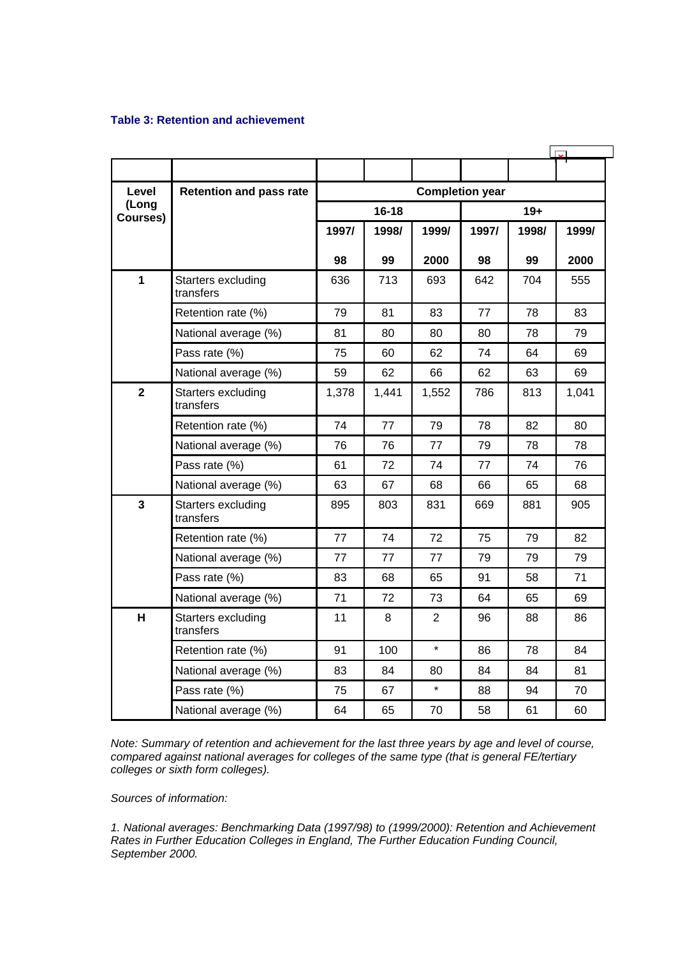# <span id="page-40-0"></span>**Table 3: Retention and achievement**

| Level                   | <b>Retention and pass rate</b>  | <b>Completion year</b> |           |         |       |       |       |
|-------------------------|---------------------------------|------------------------|-----------|---------|-------|-------|-------|
| (Long<br>Courses)       |                                 |                        | $16 - 18$ |         |       | $19+$ |       |
|                         |                                 | 1997/                  | 1998/     | 1999/   | 1997/ | 1998/ | 1999/ |
|                         |                                 | 98                     | 99        | 2000    | 98    | 99    | 2000  |
| $\overline{1}$          | Starters excluding<br>transfers | 636                    | 713       | 693     | 642   | 704   | 555   |
|                         | Retention rate (%)              | 79                     | 81        | 83      | 77    | 78    | 83    |
|                         | National average (%)            | 81                     | 80        | 80      | 80    | 78    | 79    |
|                         | Pass rate (%)                   | 75                     | 60        | 62      | 74    | 64    | 69    |
|                         | National average (%)            | 59                     | 62        | 66      | 62    | 63    | 69    |
| $\mathbf{2}$            | Starters excluding<br>transfers | 1,378                  | 1,441     | 1,552   | 786   | 813   | 1,041 |
|                         | Retention rate (%)              | 74                     | 77        | 79      | 78    | 82    | 80    |
|                         | National average (%)            | 76                     | 76        | 77      | 79    | 78    | 78    |
|                         | Pass rate (%)                   | 61                     | 72        | 74      | 77    | 74    | 76    |
|                         | National average (%)            | 63                     | 67        | 68      | 66    | 65    | 68    |
| $\overline{\mathbf{3}}$ | Starters excluding<br>transfers | 895                    | 803       | 831     | 669   | 881   | 905   |
|                         | Retention rate (%)              | 77                     | 74        | 72      | 75    | 79    | 82    |
|                         | National average (%)            | 77                     | 77        | 77      | 79    | 79    | 79    |
|                         | Pass rate (%)                   | 83                     | 68        | 65      | 91    | 58    | 71    |
|                         | National average (%)            | 71                     | 72        | 73      | 64    | 65    | 69    |
| H                       | Starters excluding<br>transfers | 11                     | 8         | 2       | 96    | 88    | 86    |
|                         | Retention rate (%)              | 91                     | 100       | $\star$ | 86    | 78    | 84    |
|                         | National average (%)            | 83                     | 84        | 80      | 84    | 84    | 81    |
|                         | Pass rate (%)                   | 75                     | 67        | $\star$ | 88    | 94    | 70    |
|                         | National average (%)            | 64                     | 65        | 70      | 58    | 61    | 60    |

*Note: Summary of retention and achievement for the last three years by age and level of course, compared against national averages for colleges of the same type (that is general FE/tertiary colleges or sixth form colleges).*

*Sources of information:* 

*1. National averages: Benchmarking Data (1997/98) to (1999/2000): Retention and Achievement Rates in Further Education Colleges in England, The Further Education Funding Council, September 2000.*